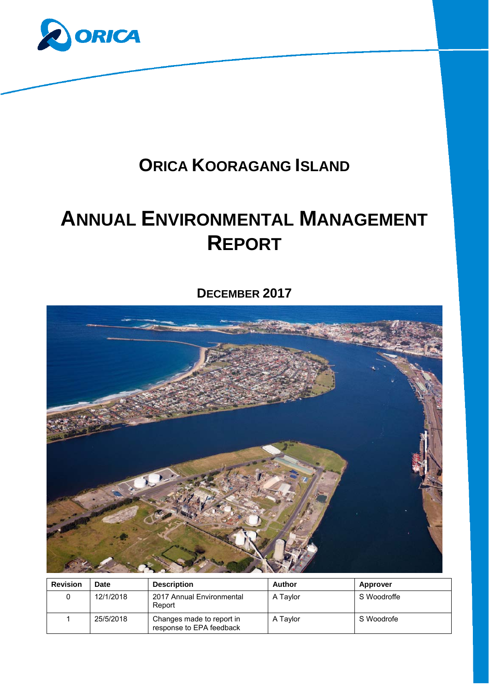

# **ORICA KOORAGANG ISLAND**

# **ANNUAL ENVIRONMENTAL MANAGEMENT REPORT**

**DECEMBER 2017** 



| <b>Revision</b> | <b>Date</b> | <b>Description</b>                                    | Author   | <b>Approver</b> |
|-----------------|-------------|-------------------------------------------------------|----------|-----------------|
|                 | 12/1/2018   | 2017 Annual Environmental<br>Report                   | A Taylor | S Woodroffe     |
|                 | 25/5/2018   | Changes made to report in<br>response to EPA feedback | A Taylor | S Woodrofe      |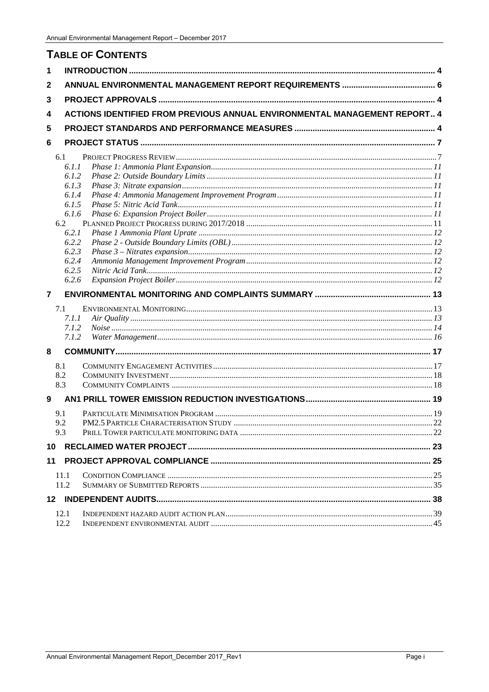# **TABLE OF CONTENTS**

| 1              |      |                                                                                  |  |
|----------------|------|----------------------------------------------------------------------------------|--|
| 2              |      |                                                                                  |  |
| 3              |      |                                                                                  |  |
| 4              |      | <b>ACTIONS IDENTIFIED FROM PREVIOUS ANNUAL ENVIRONMENTAL MANAGEMENT REPORT 4</b> |  |
| 5              |      |                                                                                  |  |
| 6              |      |                                                                                  |  |
|                |      |                                                                                  |  |
|                | 6.1  | 6.1.1                                                                            |  |
|                |      | 6.1.2                                                                            |  |
|                |      | 6.1.3                                                                            |  |
|                |      | 6.1.4                                                                            |  |
|                |      | 6.1.5                                                                            |  |
|                |      | 6.1.6                                                                            |  |
|                | 6.2  |                                                                                  |  |
|                |      | 6.2.1                                                                            |  |
|                |      | 6.2.2                                                                            |  |
|                |      | 6.2.3                                                                            |  |
|                |      | 6.2.4                                                                            |  |
|                |      | 6.2.5                                                                            |  |
|                |      | 6.2.6                                                                            |  |
| $\overline{7}$ |      |                                                                                  |  |
|                | 7.1  |                                                                                  |  |
|                |      | 7.1.1                                                                            |  |
|                |      | 7.1.2                                                                            |  |
|                |      | 7.1.2                                                                            |  |
|                |      |                                                                                  |  |
| 8              |      |                                                                                  |  |
|                | 8.1  |                                                                                  |  |
|                | 8.2  |                                                                                  |  |
|                | 8.3  |                                                                                  |  |
| 9              |      |                                                                                  |  |
|                | 9.1  |                                                                                  |  |
|                | 9.2  |                                                                                  |  |
|                | 9.3  |                                                                                  |  |
|                |      |                                                                                  |  |
| 10             |      |                                                                                  |  |
| 11             |      |                                                                                  |  |
|                | 11.1 |                                                                                  |  |
|                | 11.2 |                                                                                  |  |
|                |      |                                                                                  |  |
|                | 12.1 |                                                                                  |  |
|                | 12.2 |                                                                                  |  |
|                |      |                                                                                  |  |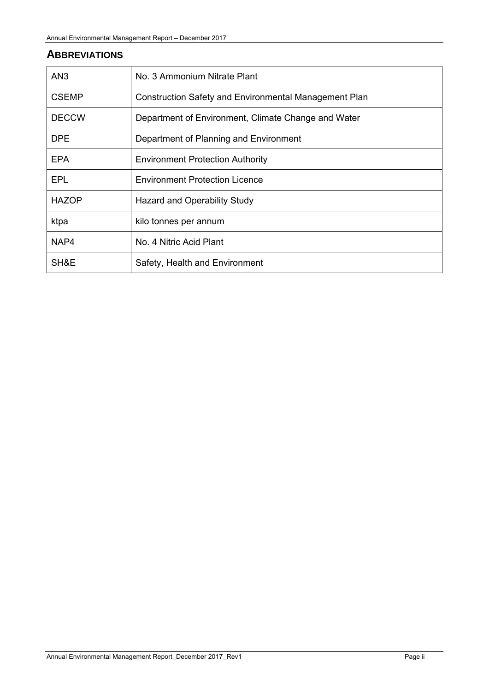# **ABBREVIATIONS**

| AN <sub>3</sub> | No. 3 Ammonium Nitrate Plant                          |
|-----------------|-------------------------------------------------------|
| <b>CSEMP</b>    | Construction Safety and Environmental Management Plan |
| <b>DECCW</b>    | Department of Environment, Climate Change and Water   |
| <b>DPE</b>      | Department of Planning and Environment                |
| <b>EPA</b>      | <b>Environment Protection Authority</b>               |
| <b>EPL</b>      | <b>Environment Protection Licence</b>                 |
| <b>HAZOP</b>    | Hazard and Operability Study                          |
| ktpa            | kilo tonnes per annum                                 |
| NAP4            | No. 4 Nitric Acid Plant                               |
| SH&E            | Safety, Health and Environment                        |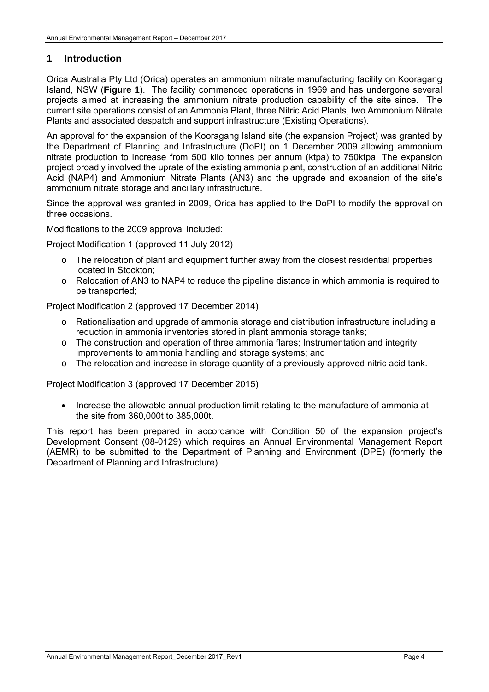## **1 Introduction**

Orica Australia Pty Ltd (Orica) operates an ammonium nitrate manufacturing facility on Kooragang Island, NSW (**Figure 1**). The facility commenced operations in 1969 and has undergone several projects aimed at increasing the ammonium nitrate production capability of the site since. The current site operations consist of an Ammonia Plant, three Nitric Acid Plants, two Ammonium Nitrate Plants and associated despatch and support infrastructure (Existing Operations).

An approval for the expansion of the Kooragang Island site (the expansion Project) was granted by the Department of Planning and Infrastructure (DoPI) on 1 December 2009 allowing ammonium nitrate production to increase from 500 kilo tonnes per annum (ktpa) to 750ktpa. The expansion project broadly involved the uprate of the existing ammonia plant, construction of an additional Nitric Acid (NAP4) and Ammonium Nitrate Plants (AN3) and the upgrade and expansion of the site's ammonium nitrate storage and ancillary infrastructure.

Since the approval was granted in 2009, Orica has applied to the DoPI to modify the approval on three occasions.

Modifications to the 2009 approval included:

Project Modification 1 (approved 11 July 2012)

- $\circ$  The relocation of plant and equipment further away from the closest residential properties located in Stockton;
- o Relocation of AN3 to NAP4 to reduce the pipeline distance in which ammonia is required to be transported;

Project Modification 2 (approved 17 December 2014)

- o Rationalisation and upgrade of ammonia storage and distribution infrastructure including a reduction in ammonia inventories stored in plant ammonia storage tanks;
- o The construction and operation of three ammonia flares; Instrumentation and integrity improvements to ammonia handling and storage systems; and
- o The relocation and increase in storage quantity of a previously approved nitric acid tank.

Project Modification 3 (approved 17 December 2015)

 Increase the allowable annual production limit relating to the manufacture of ammonia at the site from 360,000t to 385,000t.

This report has been prepared in accordance with Condition 50 of the expansion project's Development Consent (08-0129) which requires an Annual Environmental Management Report (AEMR) to be submitted to the Department of Planning and Environment (DPE) (formerly the Department of Planning and Infrastructure).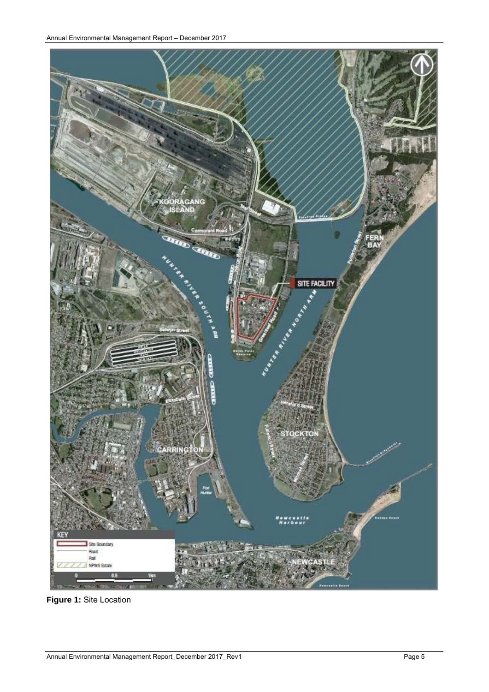

**Figure 1:** Site Location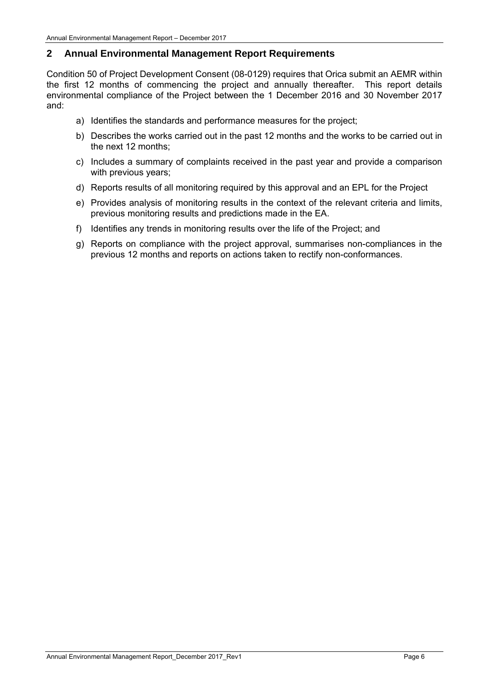## **2 Annual Environmental Management Report Requirements**

Condition 50 of Project Development Consent (08-0129) requires that Orica submit an AEMR within the first 12 months of commencing the project and annually thereafter. This report details environmental compliance of the Project between the 1 December 2016 and 30 November 2017 and:

- a) Identifies the standards and performance measures for the project;
- b) Describes the works carried out in the past 12 months and the works to be carried out in the next 12 months;
- c) Includes a summary of complaints received in the past year and provide a comparison with previous years;
- d) Reports results of all monitoring required by this approval and an EPL for the Project
- e) Provides analysis of monitoring results in the context of the relevant criteria and limits, previous monitoring results and predictions made in the EA.
- f) Identifies any trends in monitoring results over the life of the Project; and
- g) Reports on compliance with the project approval, summarises non-compliances in the previous 12 months and reports on actions taken to rectify non-conformances.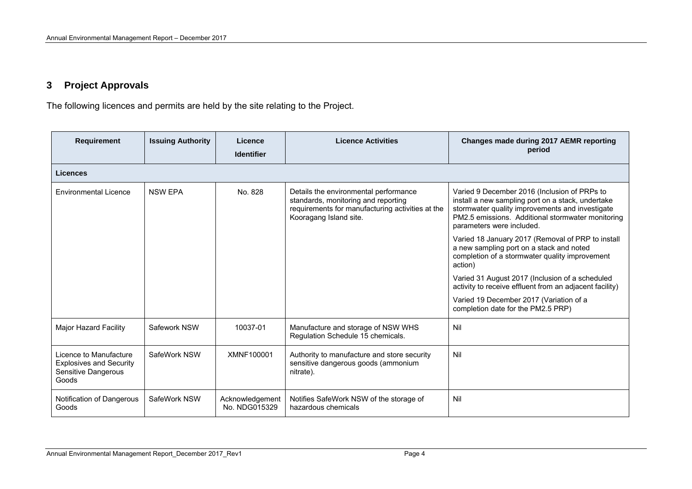# **3 Project Approvals**

The following licences and permits are held by the site relating to the Project.

| <b>Requirement</b>                                                                       | <b>Issuing Authority</b> | Licence<br><b>Identifier</b>     | <b>Licence Activities</b>                                                                                                                                  | Changes made during 2017 AEMR reporting<br>period                                                                                                                                                                                      |
|------------------------------------------------------------------------------------------|--------------------------|----------------------------------|------------------------------------------------------------------------------------------------------------------------------------------------------------|----------------------------------------------------------------------------------------------------------------------------------------------------------------------------------------------------------------------------------------|
| <b>Licences</b>                                                                          |                          |                                  |                                                                                                                                                            |                                                                                                                                                                                                                                        |
| <b>Environmental Licence</b>                                                             | <b>NSW EPA</b>           | No. 828                          | Details the environmental performance<br>standards, monitoring and reporting<br>requirements for manufacturing activities at the<br>Kooragang Island site. | Varied 9 December 2016 (Inclusion of PRPs to<br>install a new sampling port on a stack, undertake<br>stormwater quality improvements and investigate<br>PM2.5 emissions. Additional stormwater monitoring<br>parameters were included. |
|                                                                                          |                          |                                  |                                                                                                                                                            | Varied 18 January 2017 (Removal of PRP to install<br>a new sampling port on a stack and noted<br>completion of a stormwater quality improvement<br>action)                                                                             |
|                                                                                          |                          |                                  |                                                                                                                                                            | Varied 31 August 2017 (Inclusion of a scheduled<br>activity to receive effluent from an adjacent facility)                                                                                                                             |
|                                                                                          |                          |                                  |                                                                                                                                                            | Varied 19 December 2017 (Variation of a<br>completion date for the PM2.5 PRP)                                                                                                                                                          |
| Major Hazard Facility                                                                    | Safework NSW             | 10037-01                         | Manufacture and storage of NSW WHS<br>Regulation Schedule 15 chemicals.                                                                                    | Nil                                                                                                                                                                                                                                    |
| Licence to Manufacture<br><b>Explosives and Security</b><br>Sensitive Dangerous<br>Goods | SafeWork NSW             | XMNF100001                       | Authority to manufacture and store security<br>sensitive dangerous goods (ammonium<br>nitrate).                                                            | Nil                                                                                                                                                                                                                                    |
| Notification of Dangerous<br>Goods                                                       | SafeWork NSW             | Acknowledgement<br>No. NDG015329 | Notifies SafeWork NSW of the storage of<br>hazardous chemicals                                                                                             | Nil                                                                                                                                                                                                                                    |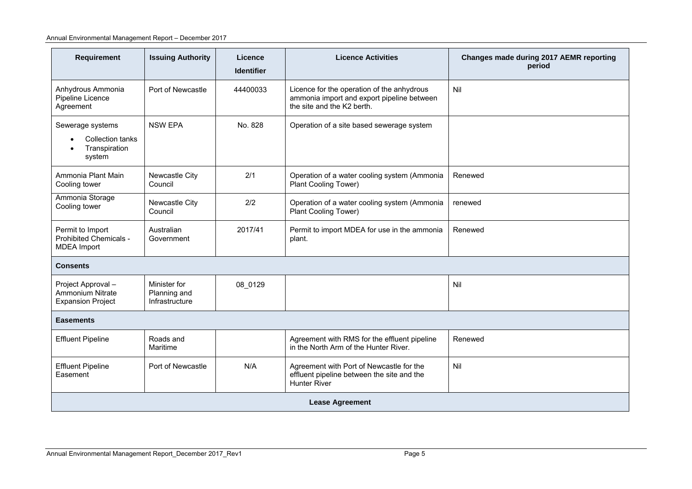| Requirement                                                                                                                                                                       | <b>Issuing Authority</b>                       | Licence<br><b>Identifier</b> | <b>Licence Activities</b>                                                                                              | Changes made during 2017 AEMR reporting<br>period |
|-----------------------------------------------------------------------------------------------------------------------------------------------------------------------------------|------------------------------------------------|------------------------------|------------------------------------------------------------------------------------------------------------------------|---------------------------------------------------|
| Anhydrous Ammonia<br>Pipeline Licence<br>Agreement                                                                                                                                | Port of Newcastle                              | 44400033                     | Licence for the operation of the anhydrous<br>ammonia import and export pipeline between<br>the site and the K2 berth. | Nil                                               |
| Sewerage systems<br><b>Collection tanks</b><br>Transpiration<br>system                                                                                                            | <b>NSW EPA</b>                                 | No. 828                      | Operation of a site based sewerage system                                                                              |                                                   |
| Ammonia Plant Main<br>Cooling tower                                                                                                                                               | Newcastle City<br>Council                      | 2/1                          | Operation of a water cooling system (Ammonia<br>Plant Cooling Tower)                                                   | Renewed                                           |
| Ammonia Storage<br>Cooling tower                                                                                                                                                  | Newcastle City<br>Council                      | 2/2                          | Operation of a water cooling system (Ammonia<br>Plant Cooling Tower)                                                   | renewed                                           |
| Permit to Import<br>Prohibited Chemicals -<br><b>MDEA</b> Import                                                                                                                  | Australian<br>Government                       | 2017/41                      | Permit to import MDEA for use in the ammonia<br>plant.                                                                 | Renewed                                           |
| <b>Consents</b>                                                                                                                                                                   |                                                |                              |                                                                                                                        |                                                   |
| Project Approval -<br>Ammonium Nitrate<br><b>Expansion Project</b>                                                                                                                | Minister for<br>Planning and<br>Infrastructure | 08 0129                      |                                                                                                                        | Nil                                               |
| <b>Easements</b>                                                                                                                                                                  |                                                |                              |                                                                                                                        |                                                   |
| <b>Effluent Pipeline</b>                                                                                                                                                          | Roads and<br>Maritime                          |                              | Agreement with RMS for the effluent pipeline<br>in the North Arm of the Hunter River.                                  | Renewed                                           |
| <b>Effluent Pipeline</b><br>Port of Newcastle<br>N/A<br>Agreement with Port of Newcastle for the<br>effluent pipeline between the site and the<br>Easement<br><b>Hunter River</b> |                                                | Nil                          |                                                                                                                        |                                                   |
|                                                                                                                                                                                   |                                                |                              | <b>Lease Agreement</b>                                                                                                 |                                                   |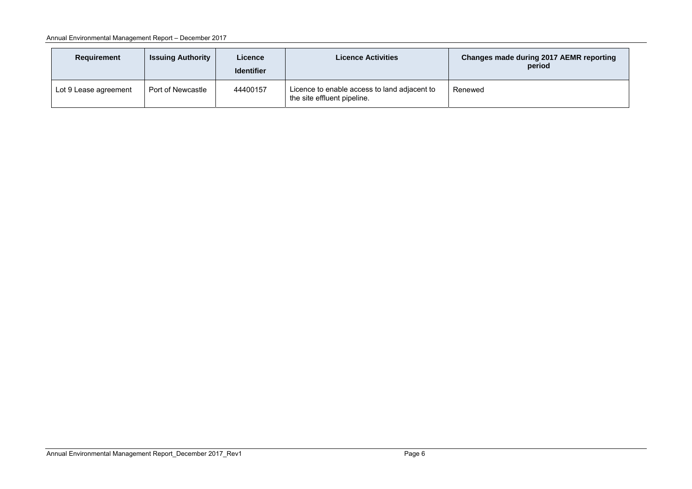| Requirement           | <b>Issuing Authority</b> | Licence<br><b>Identifier</b> | <b>Licence Activities</b>                                                   | <b>Changes made during 2017 AEMR reporting</b><br>period |  |
|-----------------------|--------------------------|------------------------------|-----------------------------------------------------------------------------|----------------------------------------------------------|--|
| Lot 9 Lease agreement | Port of Newcastle        | 44400157                     | Licence to enable access to land adjacent to<br>the site effluent pipeline. | Renewed                                                  |  |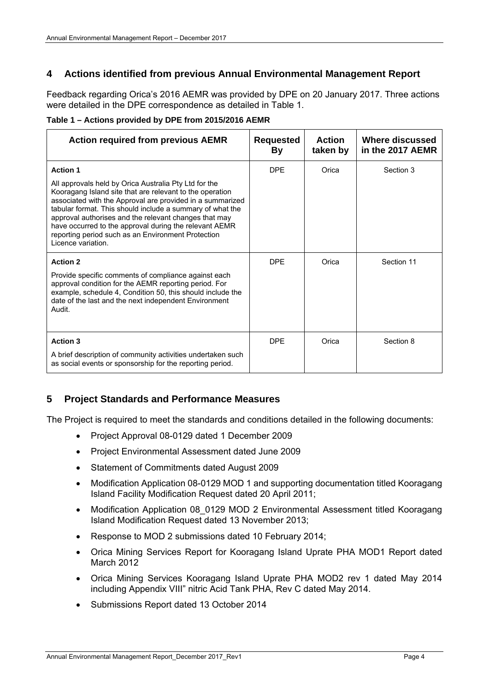# **4 Actions identified from previous Annual Environmental Management Report**

Feedback regarding Orica's 2016 AEMR was provided by DPE on 20 January 2017. Three actions were detailed in the DPE correspondence as detailed in Table 1.

**Table 1 – Actions provided by DPE from 2015/2016 AEMR** 

| <b>Action required from previous AEMR</b>                                                                                                                                                                                                                                                                                                                                                                                                  | <b>Requested</b><br>By | <b>Action</b><br>taken by | Where discussed<br>in the 2017 AEMR |
|--------------------------------------------------------------------------------------------------------------------------------------------------------------------------------------------------------------------------------------------------------------------------------------------------------------------------------------------------------------------------------------------------------------------------------------------|------------------------|---------------------------|-------------------------------------|
| <b>Action 1</b>                                                                                                                                                                                                                                                                                                                                                                                                                            | <b>DPF</b>             | Orica                     | Section 3                           |
| All approvals held by Orica Australia Pty Ltd for the<br>Kooragang Island site that are relevant to the operation<br>associated with the Approval are provided in a summarized<br>tabular format. This should include a summary of what the<br>approval authorises and the relevant changes that may<br>have occurred to the approval during the relevant AEMR<br>reporting period such as an Environment Protection<br>Licence variation. |                        |                           |                                     |
| <b>Action 2</b>                                                                                                                                                                                                                                                                                                                                                                                                                            | <b>DPF</b>             | Orica                     | Section 11                          |
| Provide specific comments of compliance against each<br>approval condition for the AEMR reporting period. For<br>example, schedule 4, Condition 50, this should include the<br>date of the last and the next independent Environment<br>Audit.                                                                                                                                                                                             |                        |                           |                                     |
| <b>Action 3</b>                                                                                                                                                                                                                                                                                                                                                                                                                            | <b>DPF</b>             | Orica                     | Section 8                           |
| A brief description of community activities undertaken such<br>as social events or sponsorship for the reporting period.                                                                                                                                                                                                                                                                                                                   |                        |                           |                                     |

# **5 Project Standards and Performance Measures**

The Project is required to meet the standards and conditions detailed in the following documents:

- Project Approval 08-0129 dated 1 December 2009
- Project Environmental Assessment dated June 2009
- Statement of Commitments dated August 2009
- Modification Application 08-0129 MOD 1 and supporting documentation titled Kooragang Island Facility Modification Request dated 20 April 2011;
- Modification Application 08 0129 MOD 2 Environmental Assessment titled Kooragang Island Modification Request dated 13 November 2013;
- Response to MOD 2 submissions dated 10 February 2014;
- Orica Mining Services Report for Kooragang Island Uprate PHA MOD1 Report dated March 2012
- Orica Mining Services Kooragang Island Uprate PHA MOD2 rev 1 dated May 2014 including Appendix VIII" nitric Acid Tank PHA, Rev C dated May 2014.
- Submissions Report dated 13 October 2014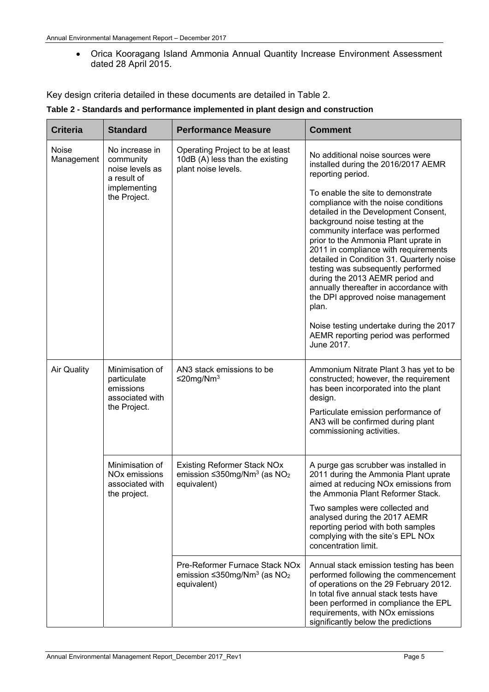Orica Kooragang Island Ammonia Annual Quantity Increase Environment Assessment dated 28 April 2015.

Key design criteria detailed in these documents are detailed in Table 2.

|  |  |  | Table 2 - Standards and performance implemented in plant design and construction |
|--|--|--|----------------------------------------------------------------------------------|
|--|--|--|----------------------------------------------------------------------------------|

| <b>Criteria</b>     | <b>Standard</b>                                                                               | <b>Performance Measure</b>                                                                                             | <b>Comment</b>                                                                                                                                                                                                                                                                                                                                                                                                                                                                                                                                                                                                                                                                          |
|---------------------|-----------------------------------------------------------------------------------------------|------------------------------------------------------------------------------------------------------------------------|-----------------------------------------------------------------------------------------------------------------------------------------------------------------------------------------------------------------------------------------------------------------------------------------------------------------------------------------------------------------------------------------------------------------------------------------------------------------------------------------------------------------------------------------------------------------------------------------------------------------------------------------------------------------------------------------|
| Noise<br>Management | No increase in<br>community<br>noise levels as<br>a result of<br>implementing<br>the Project. | Operating Project to be at least<br>10dB (A) less than the existing<br>plant noise levels.                             | No additional noise sources were<br>installed during the 2016/2017 AEMR<br>reporting period.<br>To enable the site to demonstrate<br>compliance with the noise conditions<br>detailed in the Development Consent,<br>background noise testing at the<br>community interface was performed<br>prior to the Ammonia Plant uprate in<br>2011 in compliance with requirements<br>detailed in Condition 31. Quarterly noise<br>testing was subsequently performed<br>during the 2013 AEMR period and<br>annually thereafter in accordance with<br>the DPI approved noise management<br>plan.<br>Noise testing undertake during the 2017<br>AEMR reporting period was performed<br>June 2017. |
| <b>Air Quality</b>  | Minimisation of<br>particulate<br>emissions<br>associated with<br>the Project.                | AN3 stack emissions to be<br>≤20mg/Nm <sup>3</sup>                                                                     | Ammonium Nitrate Plant 3 has yet to be<br>constructed; however, the requirement<br>has been incorporated into the plant<br>design.<br>Particulate emission performance of<br>AN3 will be confirmed during plant<br>commissioning activities.                                                                                                                                                                                                                                                                                                                                                                                                                                            |
|                     | Minimisation of<br>NO <sub>x</sub> emissions<br>associated with<br>the project.               | <b>Existing Reformer Stack NOx</b><br>emission $\leq$ 350mg/Nm <sup>3</sup> (as NO <sub>2</sub><br>equivalent)         | A purge gas scrubber was installed in<br>2011 during the Ammonia Plant uprate<br>aimed at reducing NOx emissions from<br>the Ammonia Plant Reformer Stack.<br>Two samples were collected and<br>analysed during the 2017 AEMR<br>reporting period with both samples<br>complying with the site's EPL NOx<br>concentration limit.                                                                                                                                                                                                                                                                                                                                                        |
|                     |                                                                                               | Pre-Reformer Furnace Stack NO <sub>x</sub><br>emission $\leq$ 350mg/Nm <sup>3</sup> (as NO <sub>2</sub><br>equivalent) | Annual stack emission testing has been<br>performed following the commencement<br>of operations on the 29 February 2012.<br>In total five annual stack tests have<br>been performed in compliance the EPL<br>requirements, with NOx emissions<br>significantly below the predictions                                                                                                                                                                                                                                                                                                                                                                                                    |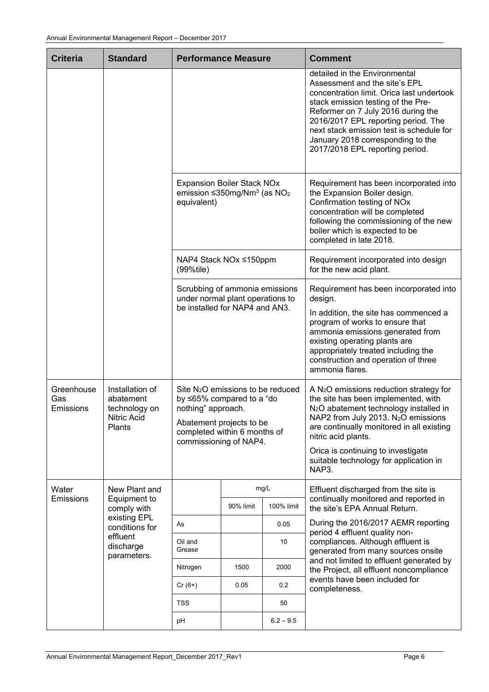| <b>Criteria</b>                | <b>Standard</b>                                                        | <b>Performance Measure</b>                                                                                                                                                   |           |             | <b>Comment</b>                                                                                                                                                                                                                                                                                                                                                   |
|--------------------------------|------------------------------------------------------------------------|------------------------------------------------------------------------------------------------------------------------------------------------------------------------------|-----------|-------------|------------------------------------------------------------------------------------------------------------------------------------------------------------------------------------------------------------------------------------------------------------------------------------------------------------------------------------------------------------------|
|                                |                                                                        |                                                                                                                                                                              |           |             | detailed in the Environmental<br>Assessment and the site's EPL<br>concentration limit. Orica last undertook<br>stack emission testing of the Pre-<br>Reformer on 7 July 2016 during the<br>2016/2017 EPL reporting period. The<br>next stack emission test is schedule for<br>January 2018 corresponding to the<br>2017/2018 EPL reporting period.               |
|                                |                                                                        | <b>Expansion Boiler Stack NOx</b><br>emission $\leq$ 350mg/Nm <sup>3</sup> (as NO <sub>2</sub><br>equivalent)                                                                |           |             | Requirement has been incorporated into<br>the Expansion Boiler design.<br>Confirmation testing of NOx<br>concentration will be completed<br>following the commissioning of the new<br>boiler which is expected to be<br>completed in late 2018.                                                                                                                  |
|                                |                                                                        | NAP4 Stack NOx ≤150ppm<br>(99%tile)                                                                                                                                          |           |             | Requirement incorporated into design<br>for the new acid plant.                                                                                                                                                                                                                                                                                                  |
|                                |                                                                        | Scrubbing of ammonia emissions<br>under normal plant operations to<br>be installed for NAP4 and AN3.                                                                         |           |             | Requirement has been incorporated into<br>design.<br>In addition, the site has commenced a<br>program of works to ensure that<br>ammonia emissions generated from<br>existing operating plants are<br>appropriately treated including the<br>construction and operation of three<br>ammonia flares.                                                              |
| Greenhouse<br>Gas<br>Emissions | Installation of<br>abatement<br>technology on<br>Nitric Acid<br>Plants | Site $N_2O$ emissions to be reduced<br>by ≤65% compared to a "do<br>nothing" approach.<br>Abatement projects to be<br>completed within 6 months of<br>commissioning of NAP4. |           |             | A N <sub>2</sub> O emissions reduction strategy for<br>the site has been implemented, with<br>N <sub>2</sub> O abatement technology installed in<br>NAP2 from July 2013. N <sub>2</sub> O emissions<br>are continually monitored in all existing<br>nitric acid plants.<br>Orica is continuing to investigate<br>suitable technology for application in<br>NAP3. |
| Water<br>Emissions             | New Plant and<br>Equipment to                                          |                                                                                                                                                                              |           | mg/L        | Effluent discharged from the site is<br>continually monitored and reported in                                                                                                                                                                                                                                                                                    |
|                                | comply with<br>existing EPL                                            |                                                                                                                                                                              | 90% limit | 100% limit  | the site's EPA Annual Return.                                                                                                                                                                                                                                                                                                                                    |
|                                | conditions for                                                         | As                                                                                                                                                                           |           | 0.05        | During the 2016/2017 AEMR reporting<br>period 4 effluent quality non-                                                                                                                                                                                                                                                                                            |
|                                | effluent<br>discharge<br>parameters.                                   | Oil and<br>Grease                                                                                                                                                            |           | 10          | compliances. Although effluent is<br>generated from many sources onsite                                                                                                                                                                                                                                                                                          |
|                                |                                                                        | Nitrogen                                                                                                                                                                     | 1500      | 2000        | and not limited to effluent generated by<br>the Project, all effluent noncompliance                                                                                                                                                                                                                                                                              |
|                                |                                                                        | $Cr(6+)$                                                                                                                                                                     | 0.05      | 0.2         | events have been included for<br>completeness.                                                                                                                                                                                                                                                                                                                   |
|                                |                                                                        | <b>TSS</b>                                                                                                                                                                   |           | 50          |                                                                                                                                                                                                                                                                                                                                                                  |
|                                |                                                                        | рH                                                                                                                                                                           |           | $6.2 - 9.5$ |                                                                                                                                                                                                                                                                                                                                                                  |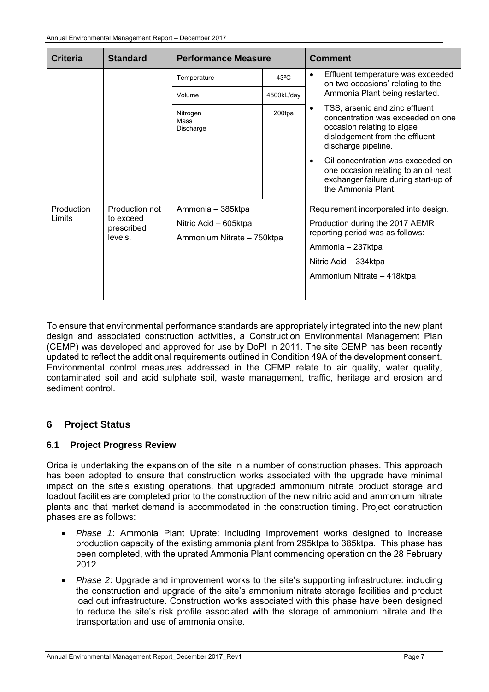| <b>Criteria</b> | <b>Standard</b>         | <b>Performance Measure</b>    |  | <b>Comment</b> |                                 |                                                                                                                                                                                                                                         |
|-----------------|-------------------------|-------------------------------|--|----------------|---------------------------------|-----------------------------------------------------------------------------------------------------------------------------------------------------------------------------------------------------------------------------------------|
|                 |                         | Temperature                   |  | $43^{\circ}$ C | $\bullet$                       | Effluent temperature was exceeded<br>on two occasions' relating to the                                                                                                                                                                  |
|                 |                         | Volume                        |  | 4500kL/day     |                                 | Ammonia Plant being restarted.                                                                                                                                                                                                          |
|                 |                         | Nitrogen<br>Mass<br>Discharge |  | 200tpa         | $\bullet$<br>$\bullet$          | TSS, arsenic and zinc effluent<br>concentration was exceeded on one<br>occasion relating to algae<br>dislodgement from the effluent<br>discharge pipeline.<br>Oil concentration was exceeded on<br>one occasion relating to an oil heat |
|                 |                         |                               |  |                |                                 | exchanger failure during start-up of<br>the Ammonia Plant.                                                                                                                                                                              |
| Production      | Production not          | Ammonia - 385ktpa             |  |                |                                 | Requirement incorporated into design.                                                                                                                                                                                                   |
| Limits          | to exceed<br>prescribed | Nitric Acid - 605ktpa         |  |                | Production during the 2017 AEMR |                                                                                                                                                                                                                                         |
|                 | levels.                 | Ammonium Nitrate - 750ktpa    |  |                |                                 | reporting period was as follows:                                                                                                                                                                                                        |
|                 |                         |                               |  |                |                                 | Ammonia – 237ktpa                                                                                                                                                                                                                       |
|                 |                         |                               |  |                | Nitric Acid - 334ktpa           |                                                                                                                                                                                                                                         |
|                 |                         |                               |  |                |                                 | Ammonium Nitrate - 418ktpa                                                                                                                                                                                                              |

To ensure that environmental performance standards are appropriately integrated into the new plant design and associated construction activities, a Construction Environmental Management Plan (CEMP) was developed and approved for use by DoPI in 2011. The site CEMP has been recently updated to reflect the additional requirements outlined in Condition 49A of the development consent. Environmental control measures addressed in the CEMP relate to air quality, water quality, contaminated soil and acid sulphate soil, waste management, traffic, heritage and erosion and sediment control.

# **6 Project Status**

#### **6.1 Project Progress Review**

Orica is undertaking the expansion of the site in a number of construction phases. This approach has been adopted to ensure that construction works associated with the upgrade have minimal impact on the site's existing operations, that upgraded ammonium nitrate product storage and loadout facilities are completed prior to the construction of the new nitric acid and ammonium nitrate plants and that market demand is accommodated in the construction timing. Project construction phases are as follows:

- *Phase 1*: Ammonia Plant Uprate: including improvement works designed to increase production capacity of the existing ammonia plant from 295ktpa to 385ktpa. This phase has been completed, with the uprated Ammonia Plant commencing operation on the 28 February 2012.
- *Phase 2*: Upgrade and improvement works to the site's supporting infrastructure: including the construction and upgrade of the site's ammonium nitrate storage facilities and product load out infrastructure. Construction works associated with this phase have been designed to reduce the site's risk profile associated with the storage of ammonium nitrate and the transportation and use of ammonia onsite.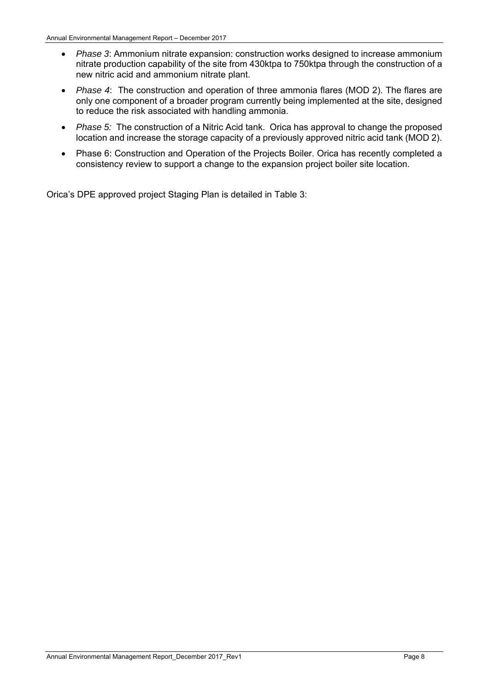- *Phase 3*: Ammonium nitrate expansion: construction works designed to increase ammonium nitrate production capability of the site from 430ktpa to 750ktpa through the construction of a new nitric acid and ammonium nitrate plant.
- *Phase 4*: The construction and operation of three ammonia flares (MOD 2). The flares are only one component of a broader program currently being implemented at the site, designed to reduce the risk associated with handling ammonia.
- *Phase 5:* The construction of a Nitric Acid tank. Orica has approval to change the proposed location and increase the storage capacity of a previously approved nitric acid tank (MOD 2).
- Phase 6: Construction and Operation of the Projects Boiler. Orica has recently completed a consistency review to support a change to the expansion project boiler site location.

Orica's DPE approved project Staging Plan is detailed in Table 3: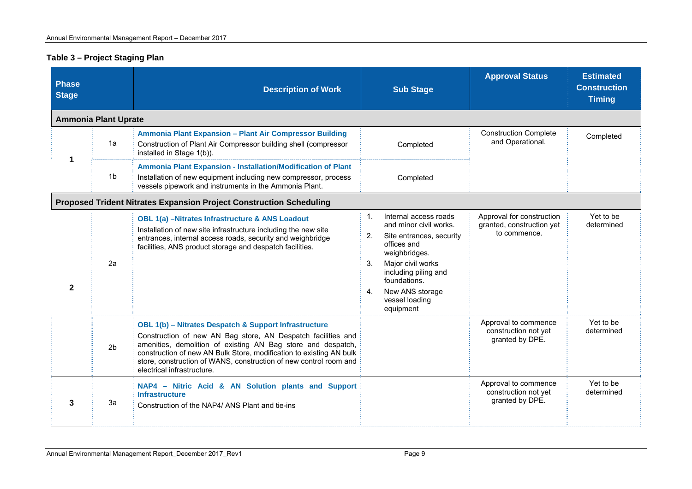#### **Table 3 – Project Staging Plan**

| <b>Phase</b><br><b>Stage</b> |                             | <b>Description of Work</b>                                                                                                                                                                                                                                                                                                                                      | <b>Sub Stage</b>                                                                                                                                                                                                                                               | <b>Approval Status</b>                                                 | <b>Estimated</b><br><b>Construction</b><br><b>Timing</b> |
|------------------------------|-----------------------------|-----------------------------------------------------------------------------------------------------------------------------------------------------------------------------------------------------------------------------------------------------------------------------------------------------------------------------------------------------------------|----------------------------------------------------------------------------------------------------------------------------------------------------------------------------------------------------------------------------------------------------------------|------------------------------------------------------------------------|----------------------------------------------------------|
|                              | <b>Ammonia Plant Uprate</b> |                                                                                                                                                                                                                                                                                                                                                                 |                                                                                                                                                                                                                                                                |                                                                        |                                                          |
| 1a<br>1                      |                             | Ammonia Plant Expansion - Plant Air Compressor Building<br>Construction of Plant Air Compressor building shell (compressor<br>installed in Stage 1(b)).                                                                                                                                                                                                         | Completed                                                                                                                                                                                                                                                      | <b>Construction Complete</b><br>and Operational.                       | Completed                                                |
|                              | 1 <sub>b</sub>              | Ammonia Plant Expansion - Installation/Modification of Plant<br>Installation of new equipment including new compressor, process<br>vessels pipework and instruments in the Ammonia Plant.                                                                                                                                                                       | Completed                                                                                                                                                                                                                                                      |                                                                        |                                                          |
|                              |                             | <b>Proposed Trident Nitrates Expansion Project Construction Scheduling</b>                                                                                                                                                                                                                                                                                      |                                                                                                                                                                                                                                                                |                                                                        |                                                          |
| $\mathbf{2}$                 | 2a                          | <b>OBL 1(a) -Nitrates Infrastructure &amp; ANS Loadout</b><br>Installation of new site infrastructure including the new site<br>entrances, internal access roads, security and weighbridge<br>facilities, ANS product storage and despatch facilities.                                                                                                          | Internal access roads<br>$\mathbf{1}$ .<br>and minor civil works.<br>2.<br>Site entrances, security<br>offices and<br>weighbridges.<br>Major civil works<br>3.<br>including piling and<br>foundations.<br>New ANS storage<br>4.<br>vessel loading<br>equipment | Approval for construction<br>granted, construction yet<br>to commence. | Yet to be<br>determined                                  |
|                              | 2 <sub>b</sub>              | OBL 1(b) - Nitrates Despatch & Support Infrastructure<br>Construction of new AN Bag store, AN Despatch facilities and<br>amenities, demolition of existing AN Bag store and despatch,<br>construction of new AN Bulk Store, modification to existing AN bulk<br>store, construction of WANS, construction of new control room and<br>electrical infrastructure. |                                                                                                                                                                                                                                                                | Approval to commence<br>construction not yet<br>granted by DPE.        | Yet to be<br>determined                                  |
| 3                            | 3a                          | NAP4 - Nitric Acid & AN Solution plants and Support<br><b>Infrastructure</b><br>Construction of the NAP4/ ANS Plant and tie-ins                                                                                                                                                                                                                                 |                                                                                                                                                                                                                                                                | Approval to commence<br>construction not yet<br>granted by DPE.        | Yet to be<br>determined                                  |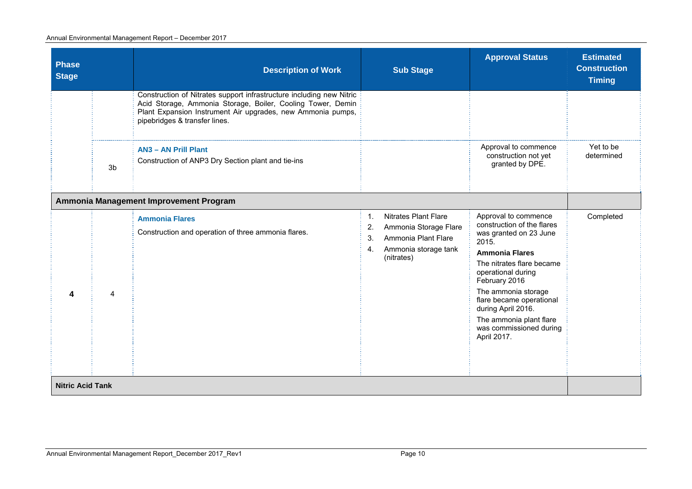#### Annual Environmental Management Report – December 2017

| <b>Phase</b><br><b>Stage</b> | <b>Description of Work</b>                                                                                                                                                                                                          | <b>Sub Stage</b>                                                                                                                          | <b>Approval Status</b>                                                                                                                                                                                                                                                                                                           | <b>Estimated</b><br><b>Construction</b><br><b>Timing</b> |
|------------------------------|-------------------------------------------------------------------------------------------------------------------------------------------------------------------------------------------------------------------------------------|-------------------------------------------------------------------------------------------------------------------------------------------|----------------------------------------------------------------------------------------------------------------------------------------------------------------------------------------------------------------------------------------------------------------------------------------------------------------------------------|----------------------------------------------------------|
|                              | Construction of Nitrates support infrastructure including new Nitric<br>Acid Storage, Ammonia Storage, Boiler, Cooling Tower, Demin<br>Plant Expansion Instrument Air upgrades, new Ammonia pumps,<br>pipebridges & transfer lines. |                                                                                                                                           |                                                                                                                                                                                                                                                                                                                                  |                                                          |
| 3b                           | <b>AN3 - AN Prill Plant</b><br>Construction of ANP3 Dry Section plant and tie-ins                                                                                                                                                   |                                                                                                                                           | Approval to commence<br>construction not yet<br>granted by DPE.                                                                                                                                                                                                                                                                  | Yet to be<br>determined                                  |
|                              | Ammonia Management Improvement Program                                                                                                                                                                                              |                                                                                                                                           |                                                                                                                                                                                                                                                                                                                                  |                                                          |
| 4<br>4                       | <b>Ammonia Flares</b><br>Construction and operation of three ammonia flares.                                                                                                                                                        | <b>Nitrates Plant Flare</b><br>1.<br>Ammonia Storage Flare<br>2.<br>Ammonia Plant Flare<br>3.<br>Ammonia storage tank<br>4.<br>(nitrates) | Approval to commence<br>construction of the flares<br>was granted on 23 June<br>2015.<br><b>Ammonia Flares</b><br>The nitrates flare became<br>operational during<br>February 2016<br>The ammonia storage<br>flare became operational<br>during April 2016.<br>The ammonia plant flare<br>was commissioned during<br>April 2017. | Completed                                                |
| <b>Nitric Acid Tank</b>      |                                                                                                                                                                                                                                     |                                                                                                                                           |                                                                                                                                                                                                                                                                                                                                  |                                                          |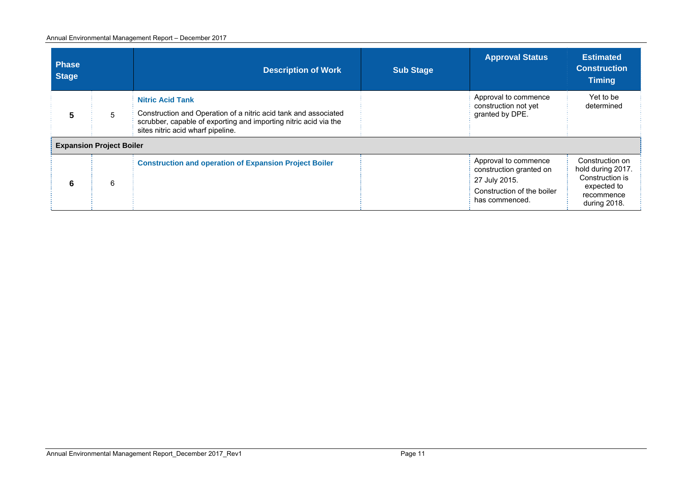#### Annual Environmental Management Report – December 2017

| <b>Phase</b><br><b>Stage</b> |                                 | <b>Description of Work</b>                                                                                                                                                                          | <b>Sub Stage</b> | <b>Approval Status</b>                                                                                           | <b>Estimated</b><br><b>Construction</b><br><b>Timing</b>                                             |
|------------------------------|---------------------------------|-----------------------------------------------------------------------------------------------------------------------------------------------------------------------------------------------------|------------------|------------------------------------------------------------------------------------------------------------------|------------------------------------------------------------------------------------------------------|
| 5                            | 5                               | <b>Nitric Acid Tank</b><br>Construction and Operation of a nitric acid tank and associated<br>scrubber, capable of exporting and importing nitric acid via the<br>sites nitric acid wharf pipeline. |                  | Approval to commence<br>construction not yet<br>granted by DPE.                                                  | Yet to be<br>determined                                                                              |
|                              | <b>Expansion Project Boiler</b> |                                                                                                                                                                                                     |                  |                                                                                                                  |                                                                                                      |
| 6                            | 6                               | <b>Construction and operation of Expansion Project Boiler</b>                                                                                                                                       |                  | Approval to commence<br>construction granted on<br>27 July 2015.<br>Construction of the boiler<br>has commenced. | Construction on<br>hold during 2017.<br>Construction is<br>expected to<br>recommence<br>during 2018. |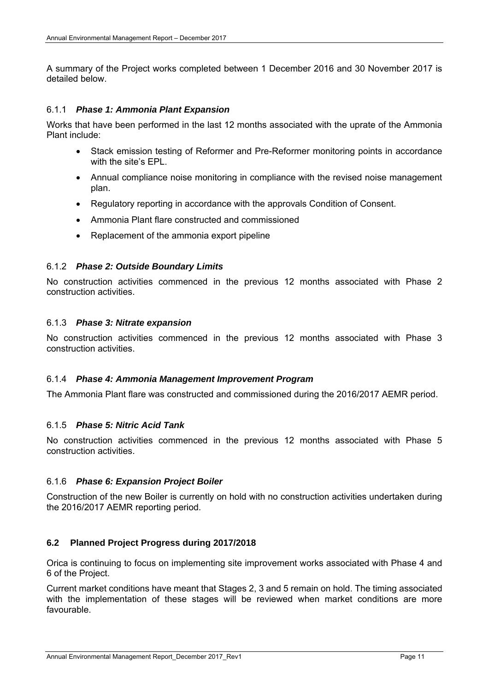A summary of the Project works completed between 1 December 2016 and 30 November 2017 is detailed below.

#### 6.1.1 *Phase 1: Ammonia Plant Expansion*

Works that have been performed in the last 12 months associated with the uprate of the Ammonia Plant include:

- Stack emission testing of Reformer and Pre-Reformer monitoring points in accordance with the site's EPL.
- Annual compliance noise monitoring in compliance with the revised noise management plan.
- Regulatory reporting in accordance with the approvals Condition of Consent.
- Ammonia Plant flare constructed and commissioned
- Replacement of the ammonia export pipeline

#### 6.1.2 *Phase 2: Outside Boundary Limits*

No construction activities commenced in the previous 12 months associated with Phase 2 construction activities.

#### 6.1.3 *Phase 3: Nitrate expansion*

No construction activities commenced in the previous 12 months associated with Phase 3 construction activities.

#### 6.1.4 *Phase 4: Ammonia Management Improvement Program*

The Ammonia Plant flare was constructed and commissioned during the 2016/2017 AEMR period.

#### 6.1.5 *Phase 5: Nitric Acid Tank*

No construction activities commenced in the previous 12 months associated with Phase 5 construction activities.

#### 6.1.6 *Phase 6: Expansion Project Boiler*

Construction of the new Boiler is currently on hold with no construction activities undertaken during the 2016/2017 AEMR reporting period.

#### **6.2 Planned Project Progress during 2017/2018**

Orica is continuing to focus on implementing site improvement works associated with Phase 4 and 6 of the Project.

Current market conditions have meant that Stages 2, 3 and 5 remain on hold. The timing associated with the implementation of these stages will be reviewed when market conditions are more favourable.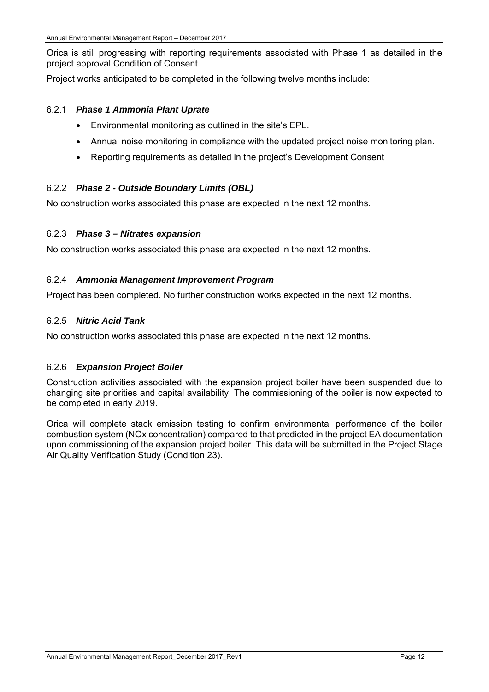Orica is still progressing with reporting requirements associated with Phase 1 as detailed in the project approval Condition of Consent.

Project works anticipated to be completed in the following twelve months include:

#### 6.2.1 *Phase 1 Ammonia Plant Uprate*

- Environmental monitoring as outlined in the site's EPL.
- Annual noise monitoring in compliance with the updated project noise monitoring plan.
- Reporting requirements as detailed in the project's Development Consent

#### 6.2.2 *Phase 2 - Outside Boundary Limits (OBL)*

No construction works associated this phase are expected in the next 12 months.

#### 6.2.3 *Phase 3 – Nitrates expansion*

No construction works associated this phase are expected in the next 12 months.

#### 6.2.4 *Ammonia Management Improvement Program*

Project has been completed. No further construction works expected in the next 12 months.

#### 6.2.5 *Nitric Acid Tank*

No construction works associated this phase are expected in the next 12 months.

#### 6.2.6 *Expansion Project Boiler*

Construction activities associated with the expansion project boiler have been suspended due to changing site priorities and capital availability. The commissioning of the boiler is now expected to be completed in early 2019.

Orica will complete stack emission testing to confirm environmental performance of the boiler combustion system (NOx concentration) compared to that predicted in the project EA documentation upon commissioning of the expansion project boiler. This data will be submitted in the Project Stage Air Quality Verification Study (Condition 23).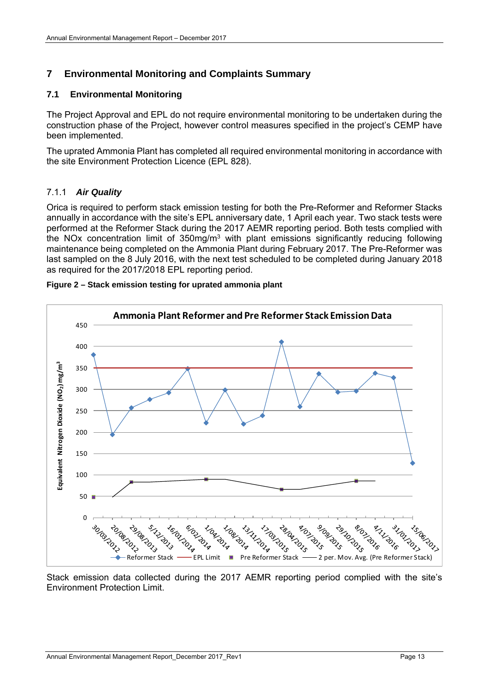# **7 Environmental Monitoring and Complaints Summary**

#### **7.1 Environmental Monitoring**

The Project Approval and EPL do not require environmental monitoring to be undertaken during the construction phase of the Project, however control measures specified in the project's CEMP have been implemented.

The uprated Ammonia Plant has completed all required environmental monitoring in accordance with the site Environment Protection Licence (EPL 828).

#### 7.1.1 *Air Quality*

Orica is required to perform stack emission testing for both the Pre-Reformer and Reformer Stacks annually in accordance with the site's EPL anniversary date, 1 April each year. Two stack tests were performed at the Reformer Stack during the 2017 AEMR reporting period. Both tests complied with the NOx concentration limit of 350mg/m3 with plant emissions significantly reducing following maintenance being completed on the Ammonia Plant during February 2017. The Pre-Reformer was last sampled on the 8 July 2016, with the next test scheduled to be completed during January 2018 as required for the 2017/2018 EPL reporting period.



#### **Figure 2 – Stack emission testing for uprated ammonia plant**

Stack emission data collected during the 2017 AEMR reporting period complied with the site's Environment Protection Limit.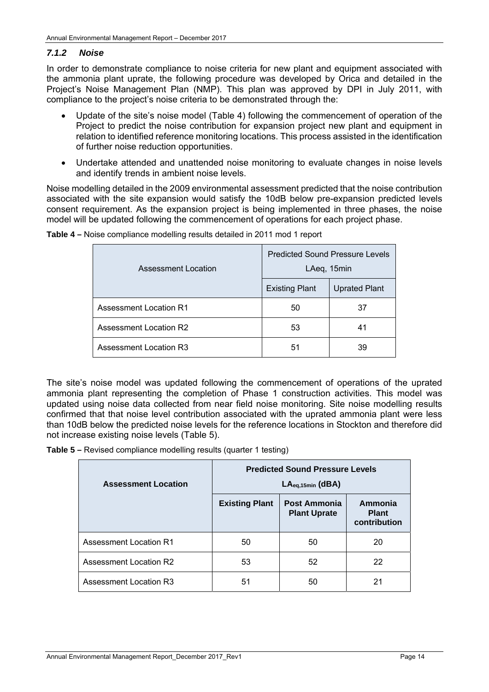#### *7.1.2 Noise*

In order to demonstrate compliance to noise criteria for new plant and equipment associated with the ammonia plant uprate, the following procedure was developed by Orica and detailed in the Project's Noise Management Plan (NMP). This plan was approved by DPI in July 2011, with compliance to the project's noise criteria to be demonstrated through the:

- Update of the site's noise model (Table 4) following the commencement of operation of the Project to predict the noise contribution for expansion project new plant and equipment in relation to identified reference monitoring locations. This process assisted in the identification of further noise reduction opportunities.
- Undertake attended and unattended noise monitoring to evaluate changes in noise levels and identify trends in ambient noise levels.

Noise modelling detailed in the 2009 environmental assessment predicted that the noise contribution associated with the site expansion would satisfy the 10dB below pre-expansion predicted levels consent requirement. As the expansion project is being implemented in three phases, the noise model will be updated following the commencement of operations for each project phase.

| Assessment Location           | <b>Predicted Sound Pressure Levels</b><br>LAeq, 15min |                      |  |
|-------------------------------|-------------------------------------------------------|----------------------|--|
|                               | <b>Existing Plant</b>                                 | <b>Uprated Plant</b> |  |
| <b>Assessment Location R1</b> | 50                                                    | 37                   |  |
| Assessment Location R2        | 53                                                    | 41                   |  |
| <b>Assessment Location R3</b> | 51                                                    | 39                   |  |

**Table 4 –** Noise compliance modelling results detailed in 2011 mod 1 report

The site's noise model was updated following the commencement of operations of the uprated ammonia plant representing the completion of Phase 1 construction activities. This model was updated using noise data collected from near field noise monitoring. Site noise modelling results confirmed that that noise level contribution associated with the uprated ammonia plant were less than 10dB below the predicted noise levels for the reference locations in Stockton and therefore did not increase existing noise levels (Table 5).

**Table 5 –** Revised compliance modelling results (quarter 1 testing)

| <b>Assessment Location</b>    | <b>Predicted Sound Pressure Levels</b><br>$LAeq,15min$ (dBA) |                                            |                                         |
|-------------------------------|--------------------------------------------------------------|--------------------------------------------|-----------------------------------------|
|                               | <b>Existing Plant</b>                                        | <b>Post Ammonia</b><br><b>Plant Uprate</b> | Ammonia<br><b>Plant</b><br>contribution |
| <b>Assessment Location R1</b> | 50                                                           | 50                                         | 20                                      |
| <b>Assessment Location R2</b> | 53                                                           | 52                                         | 22                                      |
| <b>Assessment Location R3</b> | 51                                                           | 50                                         | 21                                      |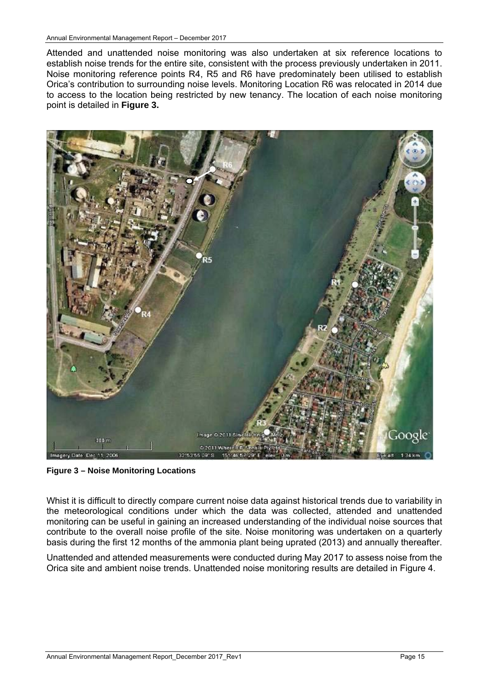Attended and unattended noise monitoring was also undertaken at six reference locations to establish noise trends for the entire site, consistent with the process previously undertaken in 2011. Noise monitoring reference points R4, R5 and R6 have predominately been utilised to establish Orica's contribution to surrounding noise levels. Monitoring Location R6 was relocated in 2014 due to access to the location being restricted by new tenancy. The location of each noise monitoring point is detailed in **Figure 3.**



**Figure 3 – Noise Monitoring Locations** 

Whist it is difficult to directly compare current noise data against historical trends due to variability in the meteorological conditions under which the data was collected, attended and unattended monitoring can be useful in gaining an increased understanding of the individual noise sources that contribute to the overall noise profile of the site. Noise monitoring was undertaken on a quarterly basis during the first 12 months of the ammonia plant being uprated (2013) and annually thereafter.

Unattended and attended measurements were conducted during May 2017 to assess noise from the Orica site and ambient noise trends. Unattended noise monitoring results are detailed in Figure 4.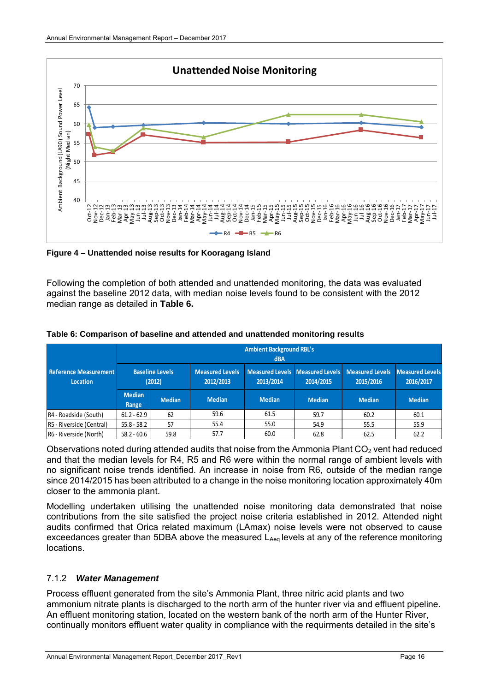

**Figure 4 – Unattended noise results for Kooragang Island** 

Following the completion of both attended and unattended monitoring, the data was evaluated against the baseline 2012 data, with median noise levels found to be consistent with the 2012 median range as detailed in **Table 6.** 

|                                                 | <b>Ambient Background RBL's</b><br><b>dBA</b> |                                  |                                     |                                              |               |                                     |                                     |  |
|-------------------------------------------------|-----------------------------------------------|----------------------------------|-------------------------------------|----------------------------------------------|---------------|-------------------------------------|-------------------------------------|--|
| <b>Reference Measurement</b><br><b>Location</b> |                                               | <b>Baseline Levels</b><br>(2012) | <b>Measured Levels</b><br>2012/2013 | Measured Levels Measured Levels<br>2013/2014 | 2014/2015     | <b>Measured Levels</b><br>2015/2016 | <b>Measured Levels</b><br>2016/2017 |  |
|                                                 | <b>Median</b><br>Range                        | <b>Median</b>                    | <b>Median</b>                       | <b>Median</b>                                | <b>Median</b> | <b>Median</b>                       | <b>Median</b>                       |  |
| R4 - Roadside (South)                           | $61.2 - 62.9$                                 | 62                               | 59.6                                | 61.5                                         | 59.7          | 60.2                                | 60.1                                |  |
| R5 - Riverside (Central)                        | $55.8 - 58.2$                                 | 57                               | 55.4                                | 55.0                                         | 54.9          | 55.5                                | 55.9                                |  |
| R6 - Riverside (North)                          | $58.2 - 60.6$                                 | 59.8                             | 57.7                                | 60.0                                         | 62.8          | 62.5                                | 62.2                                |  |

**Table 6: Comparison of baseline and attended and unattended monitoring results** 

Observations noted during attended audits that noise from the Ammonia Plant  $CO<sub>2</sub>$  vent had reduced and that the median levels for R4, R5 and R6 were within the normal range of ambient levels with no significant noise trends identified. An increase in noise from R6, outside of the median range since 2014/2015 has been attributed to a change in the noise monitoring location approximately 40m closer to the ammonia plant.

Modelling undertaken utilising the unattended noise monitoring data demonstrated that noise contributions from the site satisfied the project noise criteria established in 2012. Attended night audits confirmed that Orica related maximum (LAmax) noise levels were not observed to cause exceedances greater than 5DBA above the measured L<sub>Aeg</sub> levels at any of the reference monitoring locations.

## 7.1.2 *Water Management*

Process effluent generated from the site's Ammonia Plant, three nitric acid plants and two ammonium nitrate plants is discharged to the north arm of the hunter river via and effluent pipeline. An effluent monitoring station, located on the western bank of the north arm of the Hunter River, continually monitors effluent water quality in compliance with the requirments detailed in the site's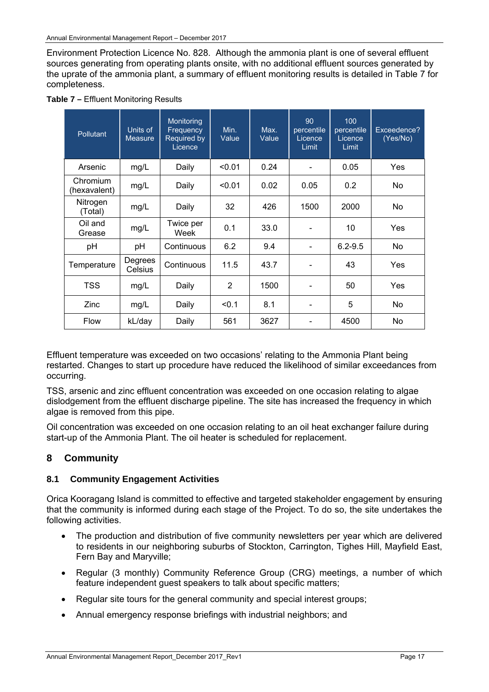Environment Protection Licence No. 828. Although the ammonia plant is one of several effluent sources generating from operating plants onsite, with no additional effluent sources generated by the uprate of the ammonia plant, a summary of effluent monitoring results is detailed in Table 7 for completeness.

| <b>Pollutant</b>         | Units of<br><b>Measure</b> | Monitoring<br>Frequency<br>Required by<br>Licence | Min.<br>Value | Max.<br>Value | 90<br>percentile<br>Licence<br>Limit | 100<br>percentile<br>Licence<br>Limit | Exceedence?<br>(Yes/No) |
|--------------------------|----------------------------|---------------------------------------------------|---------------|---------------|--------------------------------------|---------------------------------------|-------------------------|
| Arsenic                  | mg/L                       | Daily                                             | < 0.01        | 0.24          |                                      | 0.05                                  | Yes                     |
| Chromium<br>(hexavalent) | mg/L                       | Daily                                             | < 0.01        | 0.02          | 0.05                                 | 0.2                                   | No                      |
| Nitrogen<br>(Total)      | mg/L                       | Daily                                             | 32            | 426           | 1500                                 | 2000                                  | No.                     |
| Oil and<br>Grease        | mg/L                       | Twice per<br>Week                                 | 0.1           | 33.0          |                                      | 10                                    | Yes                     |
| pH                       | pH                         | Continuous                                        | 6.2           | 9.4           | $\blacksquare$                       | $6.2 - 9.5$                           | No                      |
| Temperature              | Degrees<br>Celsius         | Continuous                                        | 11.5          | 43.7          |                                      | 43                                    | Yes                     |
| <b>TSS</b>               | mg/L                       | Daily                                             | 2             | 1500          |                                      | 50                                    | Yes                     |
| Zinc                     | mg/L                       | Daily                                             | < 0.1         | 8.1           | $\overline{\phantom{a}}$             | 5                                     | No                      |
| <b>Flow</b>              | kL/day                     | Daily                                             | 561           | 3627          |                                      | 4500                                  | No                      |

|  |  |  | <b>Table 7 - Effluent Monitoring Results</b> |  |
|--|--|--|----------------------------------------------|--|
|--|--|--|----------------------------------------------|--|

Effluent temperature was exceeded on two occasions' relating to the Ammonia Plant being restarted. Changes to start up procedure have reduced the likelihood of similar exceedances from occurring.

TSS, arsenic and zinc effluent concentration was exceeded on one occasion relating to algae dislodgement from the effluent discharge pipeline. The site has increased the frequency in which algae is removed from this pipe.

Oil concentration was exceeded on one occasion relating to an oil heat exchanger failure during start-up of the Ammonia Plant. The oil heater is scheduled for replacement.

## **8 Community**

#### **8.1 Community Engagement Activities**

Orica Kooragang Island is committed to effective and targeted stakeholder engagement by ensuring that the community is informed during each stage of the Project. To do so, the site undertakes the following activities.

- The production and distribution of five community newsletters per year which are delivered to residents in our neighboring suburbs of Stockton, Carrington, Tighes Hill, Mayfield East, Fern Bay and Maryville;
- Regular (3 monthly) Community Reference Group (CRG) meetings, a number of which feature independent guest speakers to talk about specific matters;
- Regular site tours for the general community and special interest groups;
- Annual emergency response briefings with industrial neighbors; and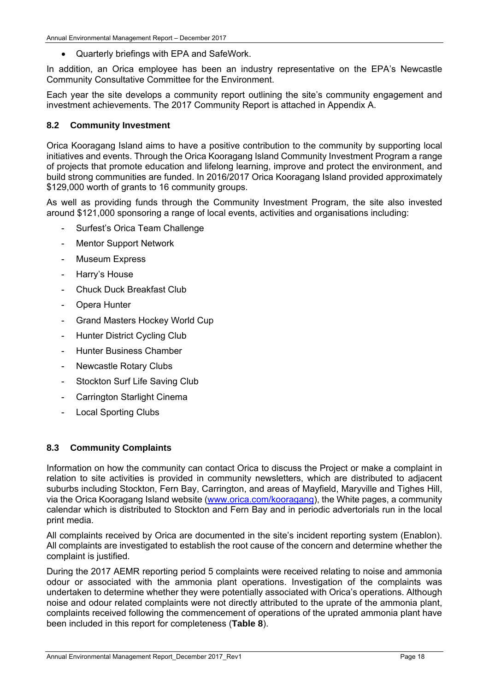Quarterly briefings with EPA and SafeWork.

In addition, an Orica employee has been an industry representative on the EPA's Newcastle Community Consultative Committee for the Environment.

Each year the site develops a community report outlining the site's community engagement and investment achievements. The 2017 Community Report is attached in Appendix A.

#### **8.2 Community Investment**

Orica Kooragang Island aims to have a positive contribution to the community by supporting local initiatives and events. Through the Orica Kooragang Island Community Investment Program a range of projects that promote education and lifelong learning, improve and protect the environment, and build strong communities are funded. In 2016/2017 Orica Kooragang Island provided approximately \$129,000 worth of grants to 16 community groups.

As well as providing funds through the Community Investment Program, the site also invested around \$121,000 sponsoring a range of local events, activities and organisations including:

- Surfest's Orica Team Challenge
- Mentor Support Network
- Museum Express
- Harry's House
- Chuck Duck Breakfast Club
- Opera Hunter
- Grand Masters Hockey World Cup
- Hunter District Cycling Club
- Hunter Business Chamber
- Newcastle Rotary Clubs
- Stockton Surf Life Saving Club
- Carrington Starlight Cinema
- Local Sporting Clubs

#### **8.3 Community Complaints**

Information on how the community can contact Orica to discuss the Project or make a complaint in relation to site activities is provided in community newsletters, which are distributed to adjacent suburbs including Stockton, Fern Bay, Carrington, and areas of Mayfield, Maryville and Tighes Hill, via the Orica Kooragang Island website (www.orica.com/kooragang), the White pages, a community calendar which is distributed to Stockton and Fern Bay and in periodic advertorials run in the local print media.

All complaints received by Orica are documented in the site's incident reporting system (Enablon). All complaints are investigated to establish the root cause of the concern and determine whether the complaint is justified.

During the 2017 AEMR reporting period 5 complaints were received relating to noise and ammonia odour or associated with the ammonia plant operations. Investigation of the complaints was undertaken to determine whether they were potentially associated with Orica's operations. Although noise and odour related complaints were not directly attributed to the uprate of the ammonia plant, complaints received following the commencement of operations of the uprated ammonia plant have been included in this report for completeness (**Table 8**).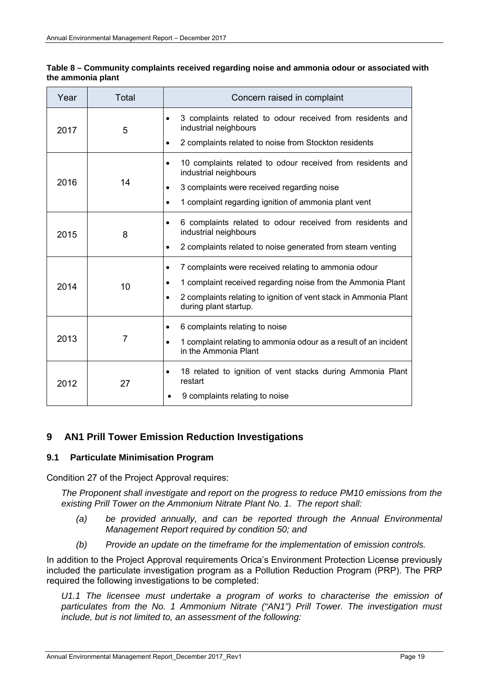| Year | Total | Concern raised in complaint                                                                                                                                                                                                                |
|------|-------|--------------------------------------------------------------------------------------------------------------------------------------------------------------------------------------------------------------------------------------------|
| 2017 | 5     | 3 complaints related to odour received from residents and<br>$\bullet$<br>industrial neighbours<br>2 complaints related to noise from Stockton residents<br>$\bullet$                                                                      |
| 2016 | 14    | 10 complaints related to odour received from residents and<br>$\bullet$<br>industrial neighbours<br>3 complaints were received regarding noise<br>$\bullet$<br>1 complaint regarding ignition of ammonia plant vent<br>$\bullet$           |
| 2015 | 8     | 6 complaints related to odour received from residents and<br>$\bullet$<br>industrial neighbours<br>2 complaints related to noise generated from steam venting<br>$\bullet$                                                                 |
| 2014 | 10    | 7 complaints were received relating to ammonia odour<br>$\bullet$<br>1 complaint received regarding noise from the Ammonia Plant<br>2 complaints relating to ignition of vent stack in Ammonia Plant<br>$\bullet$<br>during plant startup. |
| 2013 | 7     | 6 complaints relating to noise<br>$\bullet$<br>1 complaint relating to ammonia odour as a result of an incident<br>$\bullet$<br>in the Ammonia Plant                                                                                       |
| 2012 | 27    | 18 related to ignition of vent stacks during Ammonia Plant<br>$\bullet$<br>restart<br>9 complaints relating to noise                                                                                                                       |

#### **Table 8 – Community complaints received regarding noise and ammonia odour or associated with the ammonia plant**

# **9 AN1 Prill Tower Emission Reduction Investigations**

#### **9.1 Particulate Minimisation Program**

Condition 27 of the Project Approval requires:

*The Proponent shall investigate and report on the progress to reduce PM10 emissions from the existing Prill Tower on the Ammonium Nitrate Plant No. 1. The report shall:* 

- (a) be provided annually, and can be reported through the Annual Environmental *Management Report required by condition 50; and*
- *(b) Provide an update on the timeframe for the implementation of emission controls.*

In addition to the Project Approval requirements Orica's Environment Protection License previously included the particulate investigation program as a Pollution Reduction Program (PRP). The PRP required the following investigations to be completed:

*U1.1 The licensee must undertake a program of works to characterise the emission of particulates from the No. 1 Ammonium Nitrate ("AN1") Prill Tower. The investigation must include, but is not limited to, an assessment of the following:*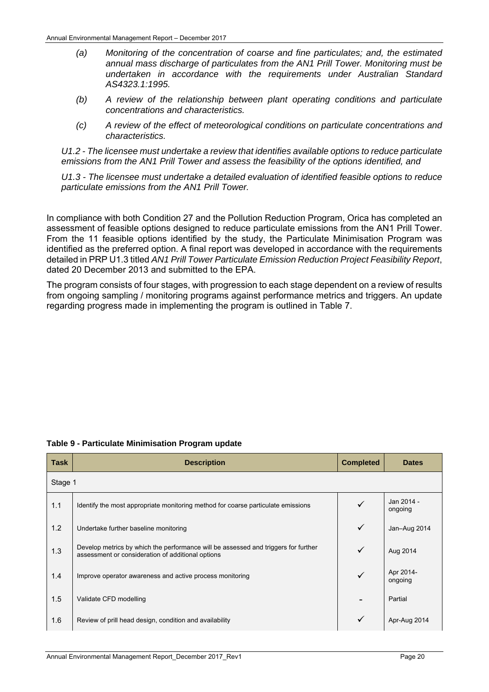- *(a) Monitoring of the concentration of coarse and fine particulates; and, the estimated annual mass discharge of particulates from the AN1 Prill Tower. Monitoring must be undertaken in accordance with the requirements under Australian Standard AS4323.1:1995.*
- *(b) A review of the relationship between plant operating conditions and particulate concentrations and characteristics.*
- *(c) A review of the effect of meteorological conditions on particulate concentrations and characteristics.*

*U1.2 - The licensee must undertake a review that identifies available options to reduce particulate emissions from the AN1 Prill Tower and assess the feasibility of the options identified, and* 

*U1.3 - The licensee must undertake a detailed evaluation of identified feasible options to reduce particulate emissions from the AN1 Prill Tower.* 

In compliance with both Condition 27 and the Pollution Reduction Program, Orica has completed an assessment of feasible options designed to reduce particulate emissions from the AN1 Prill Tower. From the 11 feasible options identified by the study, the Particulate Minimisation Program was identified as the preferred option. A final report was developed in accordance with the requirements detailed in PRP U1.3 titled *AN1 Prill Tower Particulate Emission Reduction Project Feasibility Report*, dated 20 December 2013 and submitted to the EPA.

The program consists of four stages, with progression to each stage dependent on a review of results from ongoing sampling / monitoring programs against performance metrics and triggers. An update regarding progress made in implementing the program is outlined in Table 7.

| <b>Task</b> | <b>Description</b>                                                                                                                      | <b>Completed</b> | <b>Dates</b>          |  |  |  |  |
|-------------|-----------------------------------------------------------------------------------------------------------------------------------------|------------------|-----------------------|--|--|--|--|
|             | Stage 1                                                                                                                                 |                  |                       |  |  |  |  |
| 1.1         | Identify the most appropriate monitoring method for coarse particulate emissions                                                        |                  | Jan 2014 -<br>ongoing |  |  |  |  |
| 1.2         | Undertake further baseline monitoring                                                                                                   | $\checkmark$     | Jan-Aug 2014          |  |  |  |  |
| 1.3         | Develop metrics by which the performance will be assessed and triggers for further<br>assessment or consideration of additional options | ✓                | Aug 2014              |  |  |  |  |
| 1.4         | Improve operator awareness and active process monitoring                                                                                | ✓                | Apr 2014-<br>ongoing  |  |  |  |  |
| 1.5         | Validate CFD modelling                                                                                                                  |                  | Partial               |  |  |  |  |
| 1.6         | Review of prill head design, condition and availability                                                                                 |                  | Apr-Aug 2014          |  |  |  |  |

#### **Table 9 - Particulate Minimisation Program update**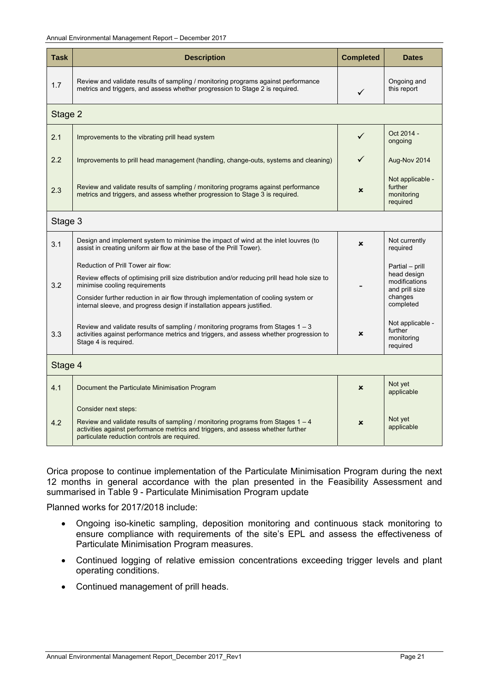| Task    | <b>Description</b>                                                                                                                                                                                                                                                                                                                   | <b>Completed</b> | <b>Dates</b>                                                                              |
|---------|--------------------------------------------------------------------------------------------------------------------------------------------------------------------------------------------------------------------------------------------------------------------------------------------------------------------------------------|------------------|-------------------------------------------------------------------------------------------|
| 1.7     | Review and validate results of sampling / monitoring programs against performance<br>metrics and triggers, and assess whether progression to Stage 2 is required.                                                                                                                                                                    | ✓                | Ongoing and<br>this report                                                                |
| Stage 2 |                                                                                                                                                                                                                                                                                                                                      |                  |                                                                                           |
| 2.1     | Improvements to the vibrating prill head system                                                                                                                                                                                                                                                                                      | ✓                | Oct 2014 -<br>ongoing                                                                     |
| 2.2     | Improvements to prill head management (handling, change-outs, systems and cleaning)                                                                                                                                                                                                                                                  |                  | Aug-Nov 2014                                                                              |
| 2.3     | Review and validate results of sampling / monitoring programs against performance<br>metrics and triggers, and assess whether progression to Stage 3 is required.                                                                                                                                                                    | ×                | Not applicable -<br>further<br>monitoring<br>required                                     |
| Stage 3 |                                                                                                                                                                                                                                                                                                                                      |                  |                                                                                           |
| 3.1     | Design and implement system to minimise the impact of wind at the inlet louvres (to<br>assist in creating uniform air flow at the base of the Prill Tower).                                                                                                                                                                          | x                | Not currently<br>required                                                                 |
| 3.2     | Reduction of Prill Tower air flow:<br>Review effects of optimising prill size distribution and/or reducing prill head hole size to<br>minimise cooling requirements<br>Consider further reduction in air flow through implementation of cooling system or<br>internal sleeve, and progress design if installation appears justified. |                  | Partial - prill<br>head design<br>modifications<br>and prill size<br>changes<br>completed |
| 3.3     | Review and validate results of sampling / monitoring programs from Stages $1 - 3$<br>activities against performance metrics and triggers, and assess whether progression to<br>Stage 4 is required.                                                                                                                                  | $\mathbf x$      | Not applicable -<br>further<br>monitoring<br>required                                     |
| Stage 4 |                                                                                                                                                                                                                                                                                                                                      |                  |                                                                                           |
| 4.1     | Document the Particulate Minimisation Program                                                                                                                                                                                                                                                                                        | $\mathbf x$      | Not yet<br>applicable                                                                     |
| 4.2     | Consider next steps:<br>Review and validate results of sampling / monitoring programs from Stages $1 - 4$<br>activities against performance metrics and triggers, and assess whether further<br>particulate reduction controls are required.                                                                                         | $\pmb{\times}$   | Not yet<br>applicable                                                                     |

Orica propose to continue implementation of the Particulate Minimisation Program during the next 12 months in general accordance with the plan presented in the Feasibility Assessment and summarised in Table 9 - Particulate Minimisation Program update

Planned works for 2017/2018 include:

- Ongoing iso-kinetic sampling, deposition monitoring and continuous stack monitoring to ensure compliance with requirements of the site's EPL and assess the effectiveness of Particulate Minimisation Program measures.
- Continued logging of relative emission concentrations exceeding trigger levels and plant operating conditions.
- Continued management of prill heads.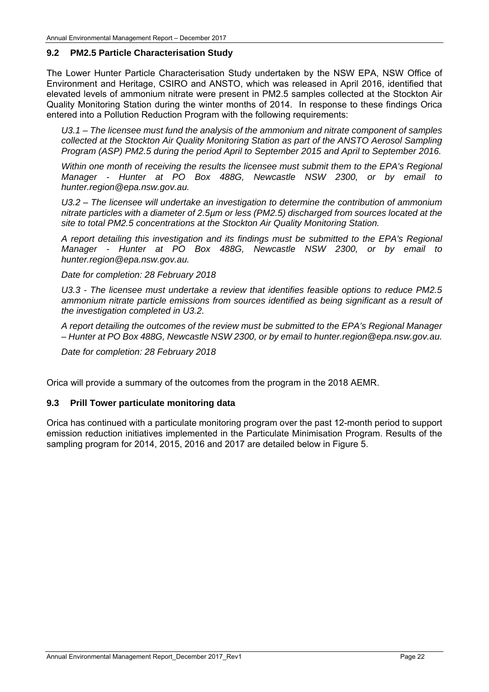#### **9.2 PM2.5 Particle Characterisation Study**

The Lower Hunter Particle Characterisation Study undertaken by the NSW EPA, NSW Office of Environment and Heritage, CSIRO and ANSTO, which was released in April 2016, identified that elevated levels of ammonium nitrate were present in PM2.5 samples collected at the Stockton Air Quality Monitoring Station during the winter months of 2014. In response to these findings Orica entered into a Pollution Reduction Program with the following requirements:

*U3.1 – The licensee must fund the analysis of the ammonium and nitrate component of samples collected at the Stockton Air Quality Monitoring Station as part of the ANSTO Aerosol Sampling Program (ASP) PM2.5 during the period April to September 2015 and April to September 2016.* 

*Within one month of receiving the results the licensee must submit them to the EPA's Regional Manager - Hunter at PO Box 488G, Newcastle NSW 2300, or by email to hunter.region@epa.nsw.gov.au.* 

*U3.2 – The licensee will undertake an investigation to determine the contribution of ammonium nitrate particles with a diameter of 2.5µm or less (PM2.5) discharged from sources located at the site to total PM2.5 concentrations at the Stockton Air Quality Monitoring Station.* 

*A report detailing this investigation and its findings must be submitted to the EPA's Regional Manager - Hunter at PO Box 488G, Newcastle NSW 2300, or by email to hunter.region@epa.nsw.gov.au.* 

*Date for completion: 28 February 2018* 

*U3.3 - The licensee must undertake a review that identifies feasible options to reduce PM2.5 ammonium nitrate particle emissions from sources identified as being significant as a result of the investigation completed in U3.2.* 

*A report detailing the outcomes of the review must be submitted to the EPA's Regional Manager – Hunter at PO Box 488G, Newcastle NSW 2300, or by email to hunter.region@epa.nsw.gov.au.* 

*Date for completion: 28 February 2018* 

Orica will provide a summary of the outcomes from the program in the 2018 AEMR.

#### **9.3 Prill Tower particulate monitoring data**

Orica has continued with a particulate monitoring program over the past 12-month period to support emission reduction initiatives implemented in the Particulate Minimisation Program. Results of the sampling program for 2014, 2015, 2016 and 2017 are detailed below in Figure 5.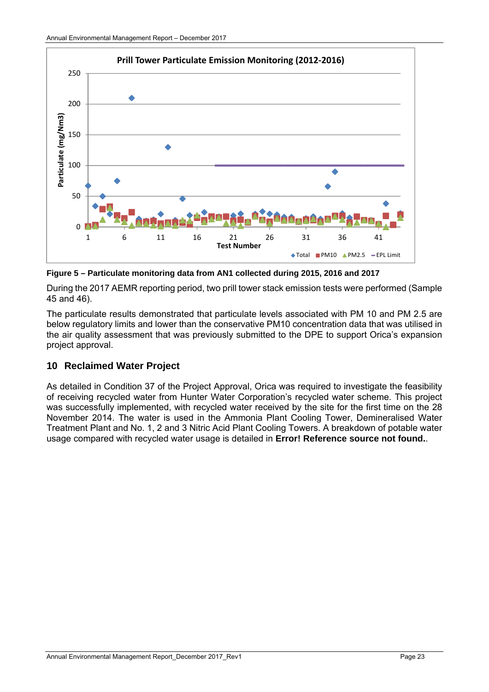

**Figure 5 – Particulate monitoring data from AN1 collected during 2015, 2016 and 2017** 

During the 2017 AEMR reporting period, two prill tower stack emission tests were performed (Sample 45 and 46).

The particulate results demonstrated that particulate levels associated with PM 10 and PM 2.5 are below regulatory limits and lower than the conservative PM10 concentration data that was utilised in the air quality assessment that was previously submitted to the DPE to support Orica's expansion project approval.

# **10 Reclaimed Water Project**

As detailed in Condition 37 of the Project Approval, Orica was required to investigate the feasibility of receiving recycled water from Hunter Water Corporation's recycled water scheme. This project was successfully implemented, with recycled water received by the site for the first time on the 28 November 2014. The water is used in the Ammonia Plant Cooling Tower, Demineralised Water Treatment Plant and No. 1, 2 and 3 Nitric Acid Plant Cooling Towers. A breakdown of potable water usage compared with recycled water usage is detailed in **Error! Reference source not found.**.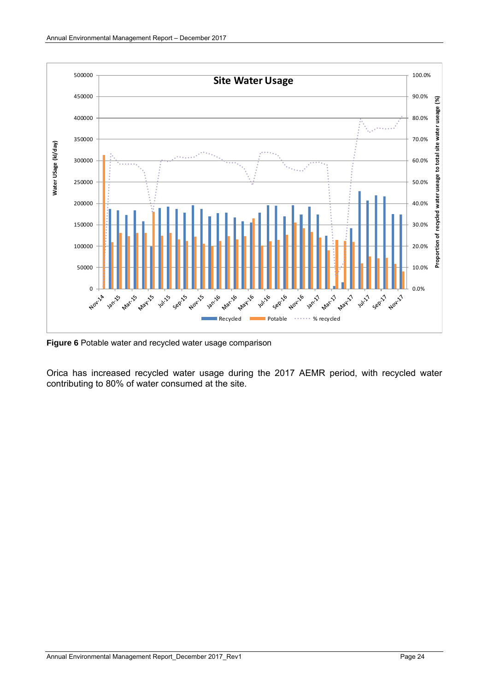

**Figure 6** Potable water and recycled water usage comparison

Orica has increased recycled water usage during the 2017 AEMR period, with recycled water contributing to 80% of water consumed at the site.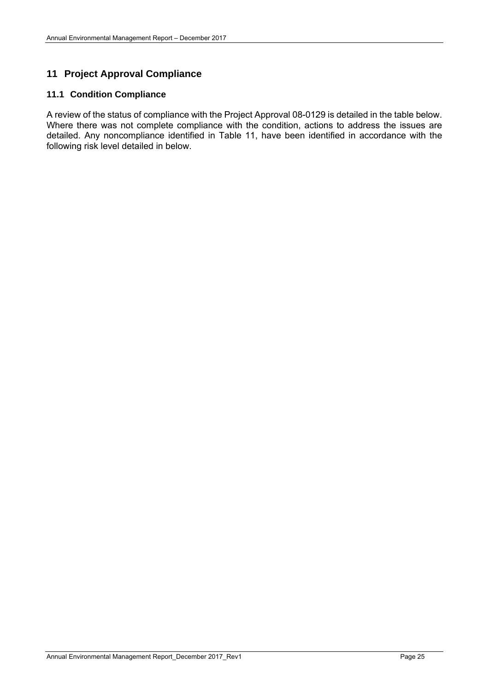# **11 Project Approval Compliance**

#### **11.1 Condition Compliance**

A review of the status of compliance with the Project Approval 08-0129 is detailed in the table below. Where there was not complete compliance with the condition, actions to address the issues are detailed. Any noncompliance identified in Table 11, have been identified in accordance with the following risk level detailed in below.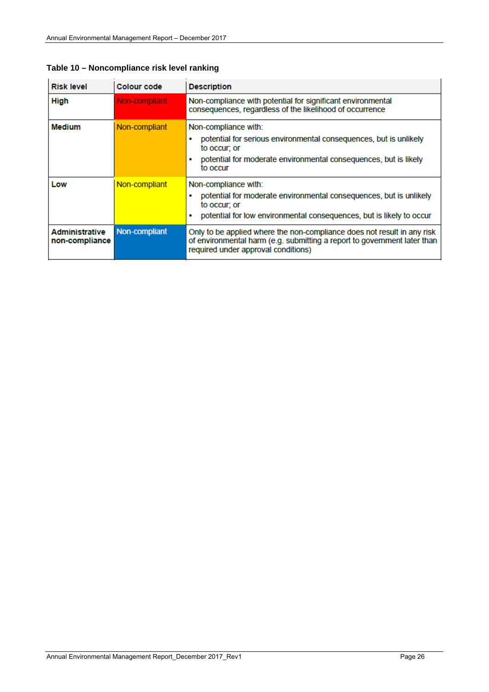| <b>Risk level</b>                       | Colour code   | <b>Description</b>                                                                                                                                                                         |
|-----------------------------------------|---------------|--------------------------------------------------------------------------------------------------------------------------------------------------------------------------------------------|
| <b>High</b>                             | Non-compliant | Non-compliance with potential for significant environmental<br>consequences, regardless of the likelihood of occurrence                                                                    |
| <b>Medium</b>                           | Non-compliant | Non-compliance with:<br>potential for serious environmental consequences, but is unlikely<br>to occur: or<br>potential for moderate environmental consequences, but is likely<br>to occur  |
| Low                                     | Non-compliant | Non-compliance with:<br>potential for moderate environmental consequences, but is unlikely<br>to occur; or<br>potential for low environmental consequences, but is likely to occur         |
| <b>Administrative</b><br>non-compliance | Non-compliant | Only to be applied where the non-compliance does not result in any risk<br>of environmental harm (e.g. submitting a report to government later than<br>required under approval conditions) |

**Table 10 – Noncompliance risk level ranking**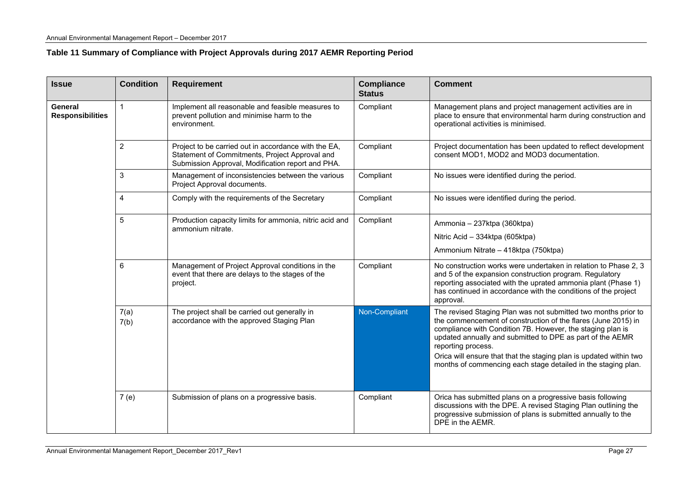## **Table 11 Summary of Compliance with Project Approvals during 2017 AEMR Reporting Period**

| <b>Issue</b>                       | <b>Condition</b> | <b>Requirement</b>                                                                                                                                          | <b>Compliance</b><br><b>Status</b> | <b>Comment</b>                                                                                                                                                                                                                                                                                                                                                                                                          |
|------------------------------------|------------------|-------------------------------------------------------------------------------------------------------------------------------------------------------------|------------------------------------|-------------------------------------------------------------------------------------------------------------------------------------------------------------------------------------------------------------------------------------------------------------------------------------------------------------------------------------------------------------------------------------------------------------------------|
| General<br><b>Responsibilities</b> | $\mathbf{1}$     | Implement all reasonable and feasible measures to<br>prevent pollution and minimise harm to the<br>environment.                                             | Compliant                          | Management plans and project management activities are in<br>place to ensure that environmental harm during construction and<br>operational activities is minimised.                                                                                                                                                                                                                                                    |
|                                    | $\overline{2}$   | Project to be carried out in accordance with the EA,<br>Statement of Commitments, Project Approval and<br>Submission Approval, Modification report and PHA. | Compliant                          | Project documentation has been updated to reflect development<br>consent MOD1, MOD2 and MOD3 documentation.                                                                                                                                                                                                                                                                                                             |
|                                    | 3                | Management of inconsistencies between the various<br>Project Approval documents.                                                                            | Compliant                          | No issues were identified during the period.                                                                                                                                                                                                                                                                                                                                                                            |
|                                    | 4                | Comply with the requirements of the Secretary                                                                                                               | Compliant                          | No issues were identified during the period.                                                                                                                                                                                                                                                                                                                                                                            |
|                                    | 5                | Production capacity limits for ammonia, nitric acid and<br>ammonium nitrate.                                                                                | Compliant                          | Ammonia - 237ktpa (360ktpa)<br>Nitric Acid - 334ktpa (605ktpa)<br>Ammonium Nitrate - 418ktpa (750ktpa)                                                                                                                                                                                                                                                                                                                  |
|                                    | 6                | Management of Project Approval conditions in the<br>event that there are delays to the stages of the<br>project.                                            | Compliant                          | No construction works were undertaken in relation to Phase 2, 3<br>and 5 of the expansion construction program. Regulatory<br>reporting associated with the uprated ammonia plant (Phase 1)<br>has continued in accordance with the conditions of the project<br>approval.                                                                                                                                              |
|                                    | 7(a)<br>7(b)     | The project shall be carried out generally in<br>accordance with the approved Staging Plan                                                                  | Non-Compliant                      | The revised Staging Plan was not submitted two months prior to<br>the commencement of construction of the flares (June 2015) in<br>compliance with Condition 7B. However, the staging plan is<br>updated annually and submitted to DPE as part of the AEMR<br>reporting process.<br>Orica will ensure that that the staging plan is updated within two<br>months of commencing each stage detailed in the staging plan. |
|                                    | 7 (e)            | Submission of plans on a progressive basis.                                                                                                                 | Compliant                          | Orica has submitted plans on a progressive basis following<br>discussions with the DPE. A revised Staging Plan outlining the<br>progressive submission of plans is submitted annually to the<br>DPE in the AEMR.                                                                                                                                                                                                        |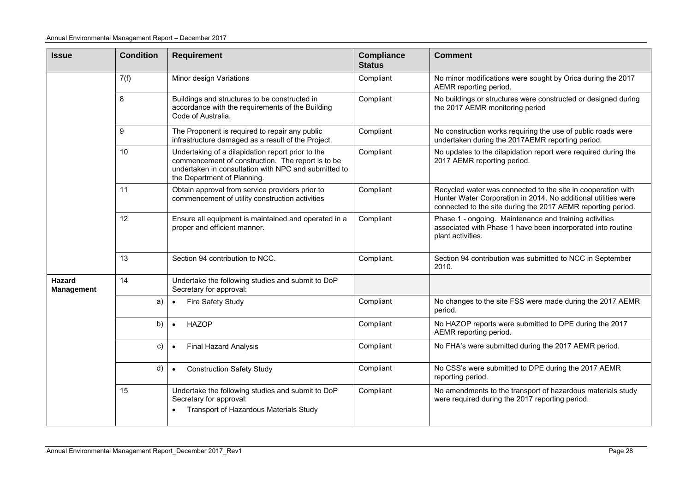| <b>Issue</b>                       | <b>Condition</b> | <b>Requirement</b>                                                                                                                                                                            | <b>Compliance</b><br><b>Status</b> | <b>Comment</b>                                                                                                                                                                                 |
|------------------------------------|------------------|-----------------------------------------------------------------------------------------------------------------------------------------------------------------------------------------------|------------------------------------|------------------------------------------------------------------------------------------------------------------------------------------------------------------------------------------------|
|                                    | 7(f)             | Minor design Variations                                                                                                                                                                       | Compliant                          | No minor modifications were sought by Orica during the 2017<br>AEMR reporting period.                                                                                                          |
|                                    | 8                | Buildings and structures to be constructed in<br>accordance with the requirements of the Building<br>Code of Australia.                                                                       | Compliant                          | No buildings or structures were constructed or designed during<br>the 2017 AEMR monitoring period                                                                                              |
|                                    | 9                | The Proponent is required to repair any public<br>infrastructure damaged as a result of the Project.                                                                                          | Compliant                          | No construction works requiring the use of public roads were<br>undertaken during the 2017AEMR reporting period.                                                                               |
|                                    | 10               | Undertaking of a dilapidation report prior to the<br>commencement of construction. The report is to be<br>undertaken in consultation with NPC and submitted to<br>the Department of Planning. | Compliant                          | No updates to the dilapidation report were required during the<br>2017 AEMR reporting period.                                                                                                  |
|                                    | 11               | Obtain approval from service providers prior to<br>commencement of utility construction activities                                                                                            | Compliant                          | Recycled water was connected to the site in cooperation with<br>Hunter Water Corporation in 2014. No additional utilities were<br>connected to the site during the 2017 AEMR reporting period. |
|                                    | 12               | Ensure all equipment is maintained and operated in a<br>proper and efficient manner.                                                                                                          | Compliant                          | Phase 1 - ongoing. Maintenance and training activities<br>associated with Phase 1 have been incorporated into routine<br>plant activities.                                                     |
|                                    | 13               | Section 94 contribution to NCC.                                                                                                                                                               | Compliant.                         | Section 94 contribution was submitted to NCC in September<br>2010.                                                                                                                             |
| <b>Hazard</b><br><b>Management</b> | 14               | Undertake the following studies and submit to DoP<br>Secretary for approval:                                                                                                                  |                                    |                                                                                                                                                                                                |
|                                    | a)               | Fire Safety Study<br>$\bullet$                                                                                                                                                                | Compliant                          | No changes to the site FSS were made during the 2017 AEMR<br>period.                                                                                                                           |
|                                    | b)               | <b>HAZOP</b><br>$\bullet$                                                                                                                                                                     | Compliant                          | No HAZOP reports were submitted to DPE during the 2017<br>AEMR reporting period.                                                                                                               |
|                                    | C)               | <b>Final Hazard Analysis</b><br>$\bullet$                                                                                                                                                     | Compliant                          | No FHA's were submitted during the 2017 AEMR period.                                                                                                                                           |
|                                    | d)               | <b>Construction Safety Study</b><br>$\bullet$                                                                                                                                                 | Compliant                          | No CSS's were submitted to DPE during the 2017 AEMR<br>reporting period.                                                                                                                       |
|                                    | 15               | Undertake the following studies and submit to DoP<br>Secretary for approval:<br>Transport of Hazardous Materials Study                                                                        | Compliant                          | No amendments to the transport of hazardous materials study<br>were required during the 2017 reporting period.                                                                                 |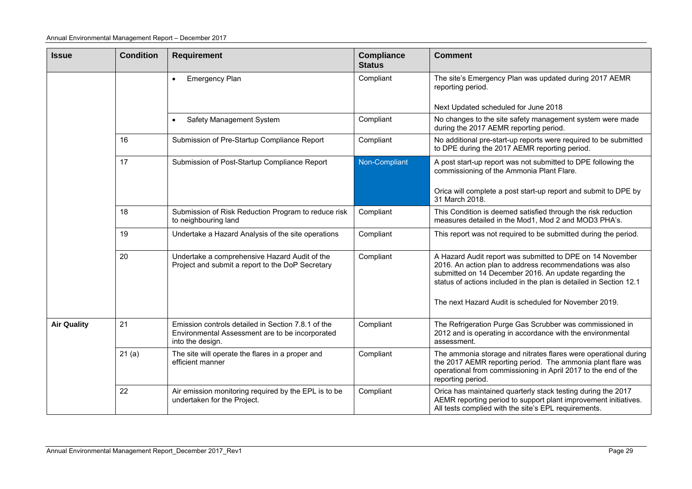| <b>Issue</b>       | <b>Condition</b> | <b>Requirement</b>                                                                                                        | <b>Compliance</b><br><b>Status</b> | <b>Comment</b>                                                                                                                                                                                                                                        |
|--------------------|------------------|---------------------------------------------------------------------------------------------------------------------------|------------------------------------|-------------------------------------------------------------------------------------------------------------------------------------------------------------------------------------------------------------------------------------------------------|
|                    |                  | Emergency Plan<br>$\bullet$                                                                                               | Compliant                          | The site's Emergency Plan was updated during 2017 AEMR<br>reporting period.                                                                                                                                                                           |
|                    |                  |                                                                                                                           |                                    | Next Updated scheduled for June 2018                                                                                                                                                                                                                  |
|                    |                  | Safety Management System<br>$\bullet$                                                                                     | Compliant                          | No changes to the site safety management system were made<br>during the 2017 AEMR reporting period.                                                                                                                                                   |
|                    | 16               | Submission of Pre-Startup Compliance Report                                                                               | Compliant                          | No additional pre-start-up reports were required to be submitted<br>to DPE during the 2017 AEMR reporting period.                                                                                                                                     |
|                    | 17               | Submission of Post-Startup Compliance Report                                                                              | Non-Compliant                      | A post start-up report was not submitted to DPE following the<br>commissioning of the Ammonia Plant Flare.                                                                                                                                            |
|                    |                  |                                                                                                                           |                                    | Orica will complete a post start-up report and submit to DPE by<br>31 March 2018.                                                                                                                                                                     |
|                    | 18               | Submission of Risk Reduction Program to reduce risk<br>to neighbouring land                                               | Compliant                          | This Condition is deemed satisfied through the risk reduction<br>measures detailed in the Mod1, Mod 2 and MOD3 PHA's.                                                                                                                                 |
|                    | 19               | Undertake a Hazard Analysis of the site operations                                                                        | Compliant                          | This report was not required to be submitted during the period.                                                                                                                                                                                       |
|                    | 20               | Undertake a comprehensive Hazard Audit of the<br>Project and submit a report to the DoP Secretary                         | Compliant                          | A Hazard Audit report was submitted to DPE on 14 November<br>2016. An action plan to address recommendations was also<br>submitted on 14 December 2016. An update regarding the<br>status of actions included in the plan is detailed in Section 12.1 |
|                    |                  |                                                                                                                           |                                    | The next Hazard Audit is scheduled for November 2019.                                                                                                                                                                                                 |
| <b>Air Quality</b> | 21               | Emission controls detailed in Section 7.8.1 of the<br>Environmental Assessment are to be incorporated<br>into the design. | Compliant                          | The Refrigeration Purge Gas Scrubber was commissioned in<br>2012 and is operating in accordance with the environmental<br>assessment.                                                                                                                 |
|                    | 21(a)            | The site will operate the flares in a proper and<br>efficient manner                                                      | Compliant                          | The ammonia storage and nitrates flares were operational during<br>the 2017 AEMR reporting period. The ammonia plant flare was<br>operational from commissioning in April 2017 to the end of the<br>reporting period.                                 |
|                    | 22               | Air emission monitoring required by the EPL is to be<br>undertaken for the Project.                                       | Compliant                          | Orica has maintained quarterly stack testing during the 2017<br>AEMR reporting period to support plant improvement initiatives.<br>All tests complied with the site's EPL requirements.                                                               |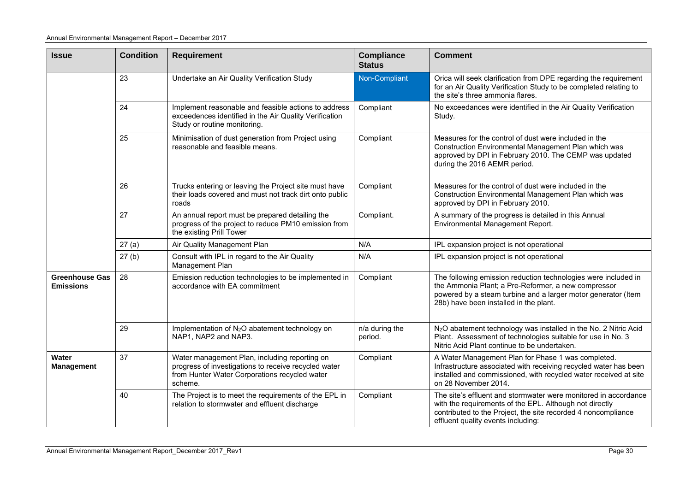| <b>Issue</b>                              | <b>Condition</b>                                                                                                                                                        | <b>Requirement</b>                                                                                                                             | <b>Compliance</b><br><b>Status</b> | <b>Comment</b>                                                                                                                                                                                                                    |  |  |
|-------------------------------------------|-------------------------------------------------------------------------------------------------------------------------------------------------------------------------|------------------------------------------------------------------------------------------------------------------------------------------------|------------------------------------|-----------------------------------------------------------------------------------------------------------------------------------------------------------------------------------------------------------------------------------|--|--|
|                                           | 23                                                                                                                                                                      | Undertake an Air Quality Verification Study                                                                                                    | Non-Compliant                      | Orica will seek clarification from DPE regarding the requirement<br>for an Air Quality Verification Study to be completed relating to<br>the site's three ammonia flares.                                                         |  |  |
|                                           | 24                                                                                                                                                                      | Implement reasonable and feasible actions to address<br>exceedences identified in the Air Quality Verification<br>Study or routine monitoring. | Compliant                          | No exceedances were identified in the Air Quality Verification<br>Study.                                                                                                                                                          |  |  |
|                                           | 25                                                                                                                                                                      | Minimisation of dust generation from Project using<br>reasonable and feasible means.                                                           | Compliant                          | Measures for the control of dust were included in the<br>Construction Environmental Management Plan which was<br>approved by DPI in February 2010. The CEMP was updated<br>during the 2016 AEMR period.                           |  |  |
|                                           | 26                                                                                                                                                                      | Trucks entering or leaving the Project site must have<br>their loads covered and must not track dirt onto public<br>roads                      | Compliant                          | Measures for the control of dust were included in the<br>Construction Environmental Management Plan which was<br>approved by DPI in February 2010.                                                                                |  |  |
|                                           | 27                                                                                                                                                                      | An annual report must be prepared detailing the<br>progress of the project to reduce PM10 emission from<br>the existing Prill Tower            | Compliant.                         | A summary of the progress is detailed in this Annual<br>Environmental Management Report.                                                                                                                                          |  |  |
|                                           | 27(a)                                                                                                                                                                   | Air Quality Management Plan                                                                                                                    | N/A                                | IPL expansion project is not operational                                                                                                                                                                                          |  |  |
|                                           | 27(b)                                                                                                                                                                   | Consult with IPL in regard to the Air Quality<br>Management Plan                                                                               | N/A                                | IPL expansion project is not operational                                                                                                                                                                                          |  |  |
| <b>Greenhouse Gas</b><br><b>Emissions</b> | 28                                                                                                                                                                      | Emission reduction technologies to be implemented in<br>accordance with EA commitment                                                          | Compliant                          | The following emission reduction technologies were included in<br>the Ammonia Plant; a Pre-Reformer, a new compressor<br>powered by a steam turbine and a larger motor generator (Item<br>28b) have been installed in the plant.  |  |  |
|                                           | 29                                                                                                                                                                      | Implementation of N <sub>2</sub> O abatement technology on<br>NAP1, NAP2 and NAP3.                                                             | n/a during the<br>period.          | N <sub>2</sub> O abatement technology was installed in the No. 2 Nitric Acid<br>Plant. Assessment of technologies suitable for use in No. 3<br>Nitric Acid Plant continue to be undertaken.                                       |  |  |
| Water<br><b>Management</b>                | 37<br>Water management Plan, including reporting on<br>progress of investigations to receive recycled water<br>from Hunter Water Corporations recycled water<br>scheme. |                                                                                                                                                | Compliant                          | A Water Management Plan for Phase 1 was completed.<br>Infrastructure associated with receiving recycled water has been<br>installed and commissioned, with recycled water received at site<br>on 28 November 2014.                |  |  |
|                                           | 40                                                                                                                                                                      | The Project is to meet the requirements of the EPL in<br>relation to stormwater and effluent discharge                                         | Compliant                          | The site's effluent and stormwater were monitored in accordance<br>with the requirements of the EPL. Although not directly<br>contributed to the Project, the site recorded 4 noncompliance<br>effluent quality events including: |  |  |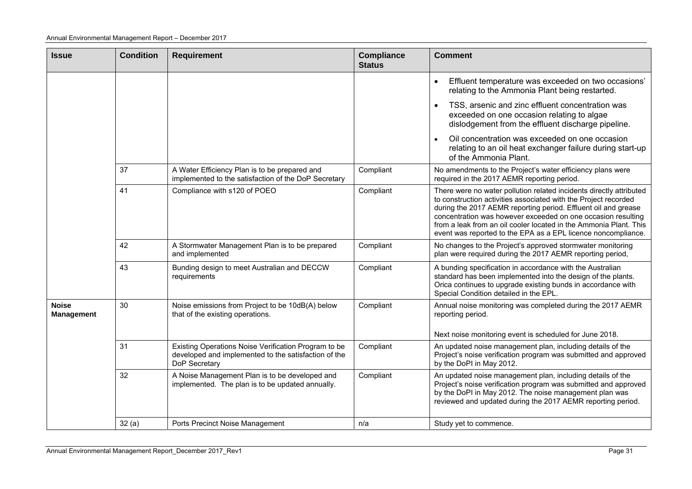| <b>Issue</b>                      | <b>Condition</b> | <b>Requirement</b>                                                                                                            | <b>Compliance</b><br><b>Status</b> | <b>Comment</b>                                                                                                                                                                                                                                                                                                                                                                                                 |
|-----------------------------------|------------------|-------------------------------------------------------------------------------------------------------------------------------|------------------------------------|----------------------------------------------------------------------------------------------------------------------------------------------------------------------------------------------------------------------------------------------------------------------------------------------------------------------------------------------------------------------------------------------------------------|
|                                   |                  |                                                                                                                               |                                    | Effluent temperature was exceeded on two occasions'<br>relating to the Ammonia Plant being restarted.                                                                                                                                                                                                                                                                                                          |
|                                   |                  |                                                                                                                               |                                    | TSS, arsenic and zinc effluent concentration was<br>exceeded on one occasion relating to algae<br>dislodgement from the effluent discharge pipeline.                                                                                                                                                                                                                                                           |
|                                   |                  |                                                                                                                               |                                    | Oil concentration was exceeded on one occasion<br>relating to an oil heat exchanger failure during start-up<br>of the Ammonia Plant.                                                                                                                                                                                                                                                                           |
|                                   | 37               | A Water Efficiency Plan is to be prepared and<br>implemented to the satisfaction of the DoP Secretary                         | Compliant                          | No amendments to the Project's water efficiency plans were<br>required in the 2017 AEMR reporting period.                                                                                                                                                                                                                                                                                                      |
|                                   | 41               | Compliance with s120 of POEO                                                                                                  | Compliant                          | There were no water pollution related incidents directly attributed<br>to construction activities associated with the Project recorded<br>during the 2017 AEMR reporting period. Effluent oil and grease<br>concentration was however exceeded on one occasion resulting<br>from a leak from an oil cooler located in the Ammonia Plant. This<br>event was reported to the EPA as a EPL licence noncompliance. |
|                                   | 42               | A Stormwater Management Plan is to be prepared<br>and implemented                                                             | Compliant                          | No changes to the Project's approved stormwater monitoring<br>plan were required during the 2017 AEMR reporting period,                                                                                                                                                                                                                                                                                        |
|                                   | 43               | Bunding design to meet Australian and DECCW<br>requirements                                                                   | Compliant                          | A bunding specification in accordance with the Australian<br>standard has been implemented into the design of the plants.<br>Orica continues to upgrade existing bunds in accordance with<br>Special Condition detailed in the EPL.                                                                                                                                                                            |
| <b>Noise</b><br><b>Management</b> | 30               | Noise emissions from Project to be 10dB(A) below<br>that of the existing operations.                                          | Compliant                          | Annual noise monitoring was completed during the 2017 AEMR<br>reporting period.<br>Next noise monitoring event is scheduled for June 2018.                                                                                                                                                                                                                                                                     |
|                                   | 31               | Existing Operations Noise Verification Program to be<br>developed and implemented to the satisfaction of the<br>DoP Secretary | Compliant                          | An updated noise management plan, including details of the<br>Project's noise verification program was submitted and approved<br>by the DoPI in May 2012.                                                                                                                                                                                                                                                      |
|                                   | 32               | A Noise Management Plan is to be developed and<br>implemented. The plan is to be updated annually.                            | Compliant                          | An updated noise management plan, including details of the<br>Project's noise verification program was submitted and approved<br>by the DoPI in May 2012. The noise management plan was<br>reviewed and updated during the 2017 AEMR reporting period.                                                                                                                                                         |
|                                   | 32(a)            | Ports Precinct Noise Management                                                                                               | n/a                                | Study yet to commence.                                                                                                                                                                                                                                                                                                                                                                                         |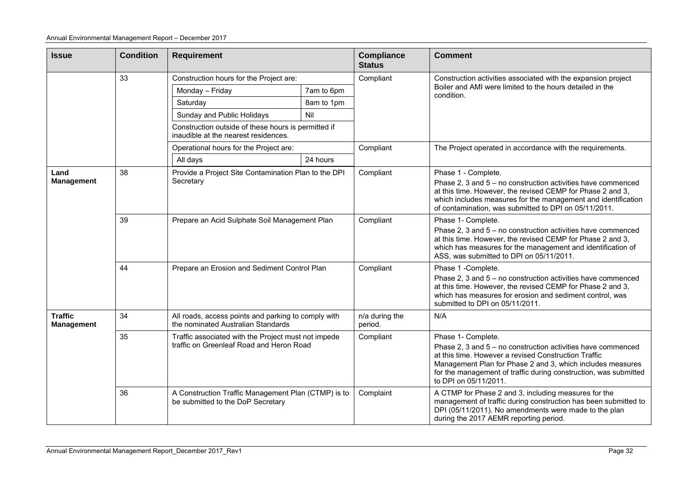| <b>Issue</b>                        | <b>Condition</b> | <b>Requirement</b>                                                                              |            | <b>Compliance</b><br><b>Status</b>                                                                                                                                                                                                                                       | <b>Comment</b>                                                                                                                                                                                                                                                                                        |  |  |  |
|-------------------------------------|------------------|-------------------------------------------------------------------------------------------------|------------|--------------------------------------------------------------------------------------------------------------------------------------------------------------------------------------------------------------------------------------------------------------------------|-------------------------------------------------------------------------------------------------------------------------------------------------------------------------------------------------------------------------------------------------------------------------------------------------------|--|--|--|
|                                     | 33               | Construction hours for the Project are:                                                         |            | Compliant                                                                                                                                                                                                                                                                | Construction activities associated with the expansion project                                                                                                                                                                                                                                         |  |  |  |
|                                     |                  | Monday - Friday                                                                                 | 7am to 6pm |                                                                                                                                                                                                                                                                          | Boiler and AMI were limited to the hours detailed in the<br>condition.                                                                                                                                                                                                                                |  |  |  |
|                                     |                  | Saturday                                                                                        | 8am to 1pm |                                                                                                                                                                                                                                                                          |                                                                                                                                                                                                                                                                                                       |  |  |  |
|                                     |                  | Sunday and Public Holidays                                                                      | Nil        |                                                                                                                                                                                                                                                                          |                                                                                                                                                                                                                                                                                                       |  |  |  |
|                                     |                  | Construction outside of these hours is permitted if<br>inaudible at the nearest residences.     |            |                                                                                                                                                                                                                                                                          |                                                                                                                                                                                                                                                                                                       |  |  |  |
|                                     |                  | Operational hours for the Project are:                                                          |            | Compliant                                                                                                                                                                                                                                                                | The Project operated in accordance with the requirements.                                                                                                                                                                                                                                             |  |  |  |
|                                     |                  | All days                                                                                        | 24 hours   |                                                                                                                                                                                                                                                                          |                                                                                                                                                                                                                                                                                                       |  |  |  |
| Land<br><b>Management</b>           | 38               | Provide a Project Site Contamination Plan to the DPI<br>Secretary                               |            | Compliant                                                                                                                                                                                                                                                                | Phase 1 - Complete.<br>Phase 2, 3 and $5 -$ no construction activities have commenced<br>at this time. However, the revised CEMP for Phase 2 and 3,<br>which includes measures for the management and identification<br>of contamination, was submitted to DPI on 05/11/2011.                         |  |  |  |
|                                     | 39               | Prepare an Acid Sulphate Soil Management Plan                                                   |            | Phase 1- Complete.<br>Compliant<br>Phase 2, 3 and 5 - no construction activities have commenced<br>at this time. However, the revised CEMP for Phase 2 and 3,<br>which has measures for the management and identification of<br>ASS, was submitted to DPI on 05/11/2011. |                                                                                                                                                                                                                                                                                                       |  |  |  |
|                                     | 44               | Prepare an Erosion and Sediment Control Plan                                                    |            | Compliant                                                                                                                                                                                                                                                                | Phase 1 -Complete.<br>Phase 2, 3 and 5 - no construction activities have commenced<br>at this time. However, the revised CEMP for Phase 2 and 3,<br>which has measures for erosion and sediment control, was<br>submitted to DPI on 05/11/2011.                                                       |  |  |  |
| <b>Traffic</b><br><b>Management</b> | 34               | All roads, access points and parking to comply with<br>the nominated Australian Standards       |            | n/a during the<br>period.                                                                                                                                                                                                                                                | N/A                                                                                                                                                                                                                                                                                                   |  |  |  |
|                                     | 35               | Traffic associated with the Project must not impede<br>traffic on Greenleaf Road and Heron Road |            | Compliant                                                                                                                                                                                                                                                                | Phase 1- Complete.<br>Phase 2, 3 and 5 - no construction activities have commenced<br>at this time. However a revised Construction Traffic<br>Management Plan for Phase 2 and 3, which includes measures<br>for the management of traffic during construction, was submitted<br>to DPI on 05/11/2011. |  |  |  |
|                                     | 36               | A Construction Traffic Management Plan (CTMP) is to<br>be submitted to the DoP Secretary        |            | Complaint                                                                                                                                                                                                                                                                | A CTMP for Phase 2 and 3, including measures for the<br>management of traffic during construction has been submitted to<br>DPI (05/11/2011). No amendments were made to the plan<br>during the 2017 AEMR reporting period.                                                                            |  |  |  |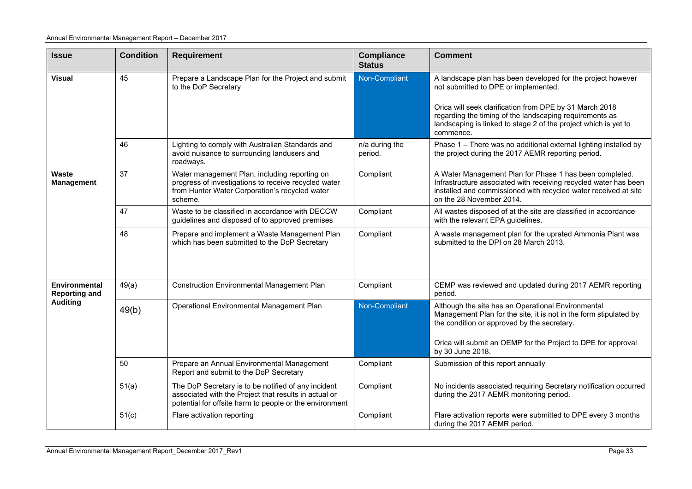| <b>Issue</b>                          | <b>Condition</b> | <b>Requirement</b>                                                                                                                                                      | <b>Compliance</b><br><b>Status</b> | <b>Comment</b>                                                                                                                                                                                                             |  |  |
|---------------------------------------|------------------|-------------------------------------------------------------------------------------------------------------------------------------------------------------------------|------------------------------------|----------------------------------------------------------------------------------------------------------------------------------------------------------------------------------------------------------------------------|--|--|
| <b>Visual</b>                         | 45               | Prepare a Landscape Plan for the Project and submit<br>to the DoP Secretary                                                                                             | Non-Compliant                      | A landscape plan has been developed for the project however<br>not submitted to DPE or implemented.                                                                                                                        |  |  |
|                                       |                  |                                                                                                                                                                         |                                    | Orica will seek clarification from DPE by 31 March 2018<br>regarding the timing of the landscaping requirements as<br>landscaping is linked to stage 2 of the project which is yet to<br>commence.                         |  |  |
|                                       | 46               | Lighting to comply with Australian Standards and<br>avoid nuisance to surrounding landusers and<br>roadways.                                                            | n/a during the<br>period.          | Phase 1 - There was no additional external lighting installed by<br>the project during the 2017 AEMR reporting period.                                                                                                     |  |  |
| <b>Waste</b><br><b>Management</b>     | 37               | Water management Plan, including reporting on<br>progress of investigations to receive recycled water<br>from Hunter Water Corporation's recycled water<br>scheme.      | Compliant                          | A Water Management Plan for Phase 1 has been completed.<br>Infrastructure associated with receiving recycled water has been<br>installed and commissioned with recycled water received at site<br>on the 28 November 2014. |  |  |
|                                       | 47               | Waste to be classified in accordance with DECCW<br>guidelines and disposed of to approved premises                                                                      | Compliant                          | All wastes disposed of at the site are classified in accordance<br>with the relevant EPA guidelines.                                                                                                                       |  |  |
|                                       | 48               | Prepare and implement a Waste Management Plan<br>which has been submitted to the DoP Secretary                                                                          | Compliant                          | A waste management plan for the uprated Ammonia Plant was<br>submitted to the DPI on 28 March 2013.                                                                                                                        |  |  |
| Environmental<br><b>Reporting and</b> | 49(a)            | <b>Construction Environmental Management Plan</b>                                                                                                                       | Compliant                          | CEMP was reviewed and updated during 2017 AEMR reporting<br>period.                                                                                                                                                        |  |  |
| <b>Auditing</b>                       | 49(b)            | Operational Environmental Management Plan                                                                                                                               | Non-Compliant                      | Although the site has an Operational Environmental<br>Management Plan for the site, it is not in the form stipulated by<br>the condition or approved by the secretary.                                                     |  |  |
|                                       |                  |                                                                                                                                                                         |                                    | Orica will submit an OEMP for the Project to DPE for approval<br>by 30 June 2018.                                                                                                                                          |  |  |
|                                       | 50               | Prepare an Annual Environmental Management<br>Report and submit to the DoP Secretary                                                                                    | Compliant                          | Submission of this report annually                                                                                                                                                                                         |  |  |
|                                       | 51(a)            | The DoP Secretary is to be notified of any incident<br>associated with the Project that results in actual or<br>potential for offsite harm to people or the environment | Compliant                          | No incidents associated requiring Secretary notification occurred<br>during the 2017 AEMR monitoring period.                                                                                                               |  |  |
|                                       | 51(c)            | Flare activation reporting                                                                                                                                              | Compliant                          | Flare activation reports were submitted to DPE every 3 months<br>during the 2017 AEMR period.                                                                                                                              |  |  |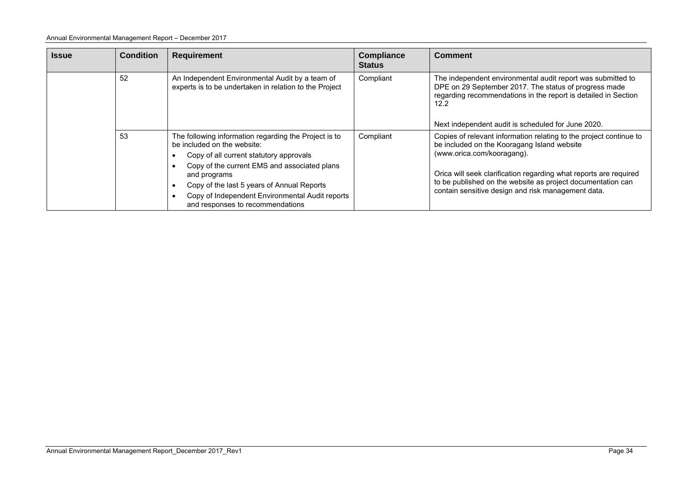#### Annual Environmental Management Report – December 2017

| <b>Issue</b> | <b>Condition</b> | <b>Requirement</b>                                                                                                                                                                                                                                                                                                                   | <b>Compliance</b><br><b>Status</b> | <b>Comment</b>                                                                                                                                                                                                                                                                                                                            |
|--------------|------------------|--------------------------------------------------------------------------------------------------------------------------------------------------------------------------------------------------------------------------------------------------------------------------------------------------------------------------------------|------------------------------------|-------------------------------------------------------------------------------------------------------------------------------------------------------------------------------------------------------------------------------------------------------------------------------------------------------------------------------------------|
|              | 52               | An Independent Environmental Audit by a team of<br>experts is to be undertaken in relation to the Project                                                                                                                                                                                                                            | Compliant                          | The independent environmental audit report was submitted to<br>DPE on 29 September 2017. The status of progress made<br>regarding recommendations in the report is detailed in Section<br>12.2<br>Next independent audit is scheduled for June 2020.                                                                                      |
|              | 53               | The following information regarding the Project is to<br>be included on the website:<br>Copy of all current statutory approvals<br>Copy of the current EMS and associated plans<br>and programs<br>Copy of the last 5 years of Annual Reports<br>Copy of Independent Environmental Audit reports<br>and responses to recommendations | Compliant                          | Copies of relevant information relating to the project continue to<br>be included on the Kooragang Island website<br>(www.orica.com/kooragang).<br>Orica will seek clarification regarding what reports are required<br>to be published on the website as project documentation can<br>contain sensitive design and risk management data. |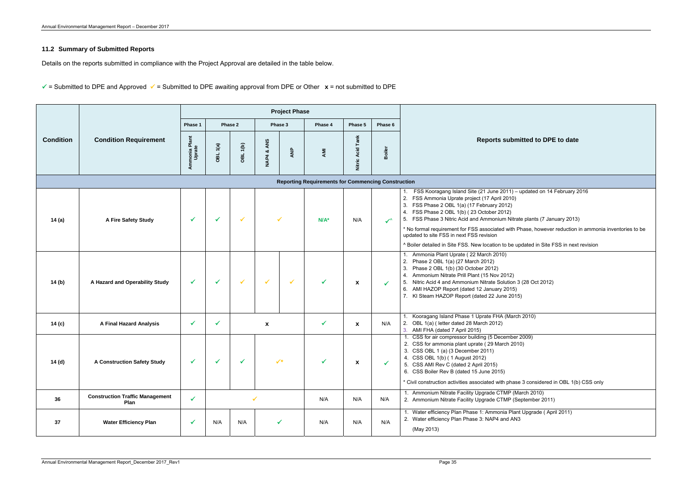# **11.2 Summary of Submitted Reports**

Details on the reports submitted in compliance with the Project Approval are detailed in the table below.

 $\checkmark$  = Submitted to DPE and Approved  $\checkmark$  = Submitted to DPE awaiting approval from DPE or Other  $\chi$  = not submitted to DPE

|                  |                                                |                         |          |                     |                  | <b>Project Phase</b> |                                                           |                     |               |                                                                                                                                                                                                                                                                                                                                                                                                                                                                |
|------------------|------------------------------------------------|-------------------------|----------|---------------------|------------------|----------------------|-----------------------------------------------------------|---------------------|---------------|----------------------------------------------------------------------------------------------------------------------------------------------------------------------------------------------------------------------------------------------------------------------------------------------------------------------------------------------------------------------------------------------------------------------------------------------------------------|
|                  |                                                | Phase 1                 |          | Phase 2             |                  | Phase 3              | Phase 4                                                   | Phase 5             | Phase 6       |                                                                                                                                                                                                                                                                                                                                                                                                                                                                |
| <b>Condition</b> | <b>Condition Requirement</b>                   | Ammonia Plant<br>Uprate | OBL 1(a) | OBL <sub>1(b)</sub> | ANS<br>ಯ<br>NAP4 | ANP                  | <b>AMI</b>                                                | Tank<br>Nitric Acid | <b>Boiler</b> | <b>Reports submitted to DPE</b>                                                                                                                                                                                                                                                                                                                                                                                                                                |
|                  |                                                |                         |          |                     |                  |                      | <b>Reporting Requirements for Commencing Construction</b> |                     |               |                                                                                                                                                                                                                                                                                                                                                                                                                                                                |
| 14 (a)           | A Fire Safety Study                            | $\checkmark$            | ✓        | ✓                   |                  |                      | $N/A^*$                                                   | N/A                 | $\checkmark$  | FSS Kooragang Island Site (21 June 2011) - updated on 14 F<br>2. FSS Ammonia Uprate project (17 April 2010)<br>3. FSS Phase 2 OBL 1(a) (17 February 2012)<br>4. FSS Phase 2 OBL 1(b) (23 October 2012)<br>5. FSS Phase 3 Nitric Acid and Ammonium Nitrate plants (7 Janu<br>* No formal requirement for FSS associated with Phase, however<br>updated to site FSS in next FSS revision<br>^ Boiler detailed in Site FSS. New location to be updated in Site F9 |
| 14 (b)           | A Hazard and Operability Study                 | $\checkmark$            | ✓        | $\checkmark$        | $\checkmark$     |                      | ✓                                                         | X                   | $\checkmark$  | Ammonia Plant Uprate (22 March 2010)<br>2. Phase 2 OBL 1(a) (27 March 2012)<br>3. Phase 2 OBL 1(b) (30 October 2012)<br>4. Ammonium Nitrate Prill Plant (15 Nov 2012)<br>5. Nitric Acid 4 and Ammonium Nitrate Solution 3 (28 Oct 2012)<br>6. AMI HAZOP Report (dated 12 January 2015)<br>7. KI Steam HAZOP Report (dated 22 June 2015)                                                                                                                        |
| 14 (c)           | <b>A Final Hazard Analysis</b>                 | $\checkmark$            | ✓        |                     | X                |                      | ✓                                                         | X                   | N/A           | Kooragang Island Phase 1 Uprate FHA (March 2010)<br>2. OBL 1(a) (letter dated 28 March 2012)<br>3. AMI FHA (dated 7 April 2015)                                                                                                                                                                                                                                                                                                                                |
| 14 (d)           | <b>A Construction Safety Study</b>             |                         |          |                     |                  |                      |                                                           |                     |               | 1. CSS for air compressor building (5 December 2009)<br>2. CSS for ammonia plant uprate (29 March 2010)<br>3. CSS OBL 1 (a) (3 December 2011)<br>4. CSS OBL 1(b) (1 August 2012)<br>5. CSS AMI Rev C (dated 2 April 2015)<br>6. CSS Boiler Rev B (dated 15 June 2015)<br>* Civil construction activities associated with phase 3 considered ir                                                                                                                 |
| 36               | <b>Construction Traffic Management</b><br>Plan | $\checkmark$            |          |                     | $\checkmark$     |                      | N/A                                                       | N/A                 | N/A           | 1. Ammonium Nitrate Facility Upgrade CTMP (March 2010)<br>2. Ammonium Nitrate Facility Upgrade CTMP (September 2011)                                                                                                                                                                                                                                                                                                                                           |
| 37               | <b>Water Efficiency Plan</b>                   | ✓                       | N/A      | N/A                 |                  |                      | N/A                                                       | N/A                 | N/A           | 1. Water efficiency Plan Phase 1: Ammonia Plant Upgrade (Apri<br>2. Water efficiency Plan Phase 3: NAP4 and AN3<br>(May 2013)                                                                                                                                                                                                                                                                                                                                  |

**Reports it ted to DPE to date** updated on 14 February 2016 e plants (7 January 2013) hase, however reduction in ammonia inventories to be dated in Site FSS in next revision (28 Oct 2012)  $12010$  $2009)$ : 3 considered in OBL 1(b) CSS only 1. Upgrade ( April 2011)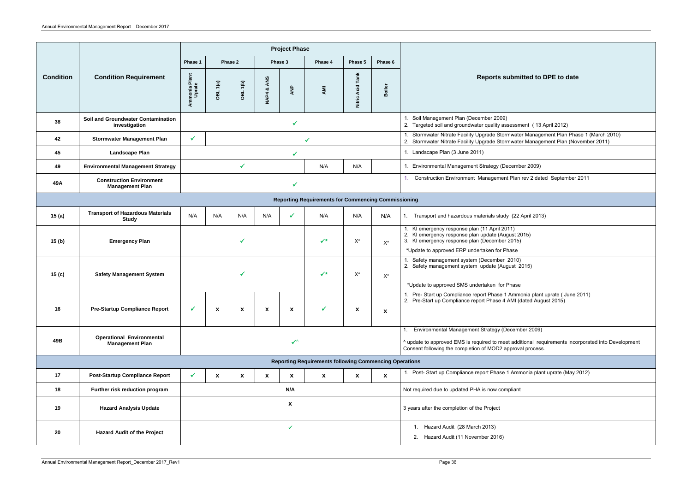| Reports submitted to DPE to date                                                                              |
|---------------------------------------------------------------------------------------------------------------|
|                                                                                                               |
| ember 2009)<br>ter quality assessment (13 April 2012)                                                         |
| Jpgrade Stormwater Management Plan Phase 1 (March 2010)<br>Jpgrade Stormwater Management Plan (November 2011) |
| 11)                                                                                                           |
| Strategy (December 2009)                                                                                      |
| Management Plan rev 2 dated September 2011                                                                    |
|                                                                                                               |
| aterials study (22 April 2013)                                                                                |
| (11 April 2011)<br>update (August 2015)<br>(December 2015)                                                    |
| ertaken for Phase                                                                                             |
| (December 2010)<br>update (August 2015)                                                                       |
| lertaken for Phase                                                                                            |
| port Phase 1 Ammonia plant uprate (June 2011)<br>oort Phase 4 AMI (dated August 2015)                         |
|                                                                                                               |
| t Strategy (December 2009)                                                                                    |
| quired to meet additional requirements incorporated into Development<br>n of MOD2 approval process.           |
|                                                                                                               |
| eport Phase 1 Ammonia plant uprate (May 2012)                                                                 |
| A is now compliant                                                                                            |
| ne Project                                                                                                    |
| h 2013):                                                                                                      |
| mber 2016)                                                                                                    |
|                                                                                                               |

|                                                            |                                                            |                                  |          |                 |                           | <b>Project Phase</b> |                                                               |                                             |                                                                                                                                                                                                      |                                                                                                                                                                                                                       |
|------------------------------------------------------------|------------------------------------------------------------|----------------------------------|----------|-----------------|---------------------------|----------------------|---------------------------------------------------------------|---------------------------------------------|------------------------------------------------------------------------------------------------------------------------------------------------------------------------------------------------------|-----------------------------------------------------------------------------------------------------------------------------------------------------------------------------------------------------------------------|
|                                                            |                                                            | Phase 1                          |          | Phase 2         |                           | Phase 3              | Phase 4                                                       | Phase 5                                     | Phase 6                                                                                                                                                                                              |                                                                                                                                                                                                                       |
| <b>Condition</b>                                           | <b>Condition Requirement</b>                               | Plant<br>le<br>Ammonia<br>Uprate | OBL 1(a) | <b>OBL 1(b)</b> | ANS<br><b>NAP4&amp;</b>   | ANP                  | AMI                                                           | <b>Acid Tank</b><br>Nitric                  | Boiler                                                                                                                                                                                               | <b>Reports submitted to DPE to date</b>                                                                                                                                                                               |
| 38                                                         | <b>Soil and Groundwater Contamination</b><br>investigation |                                  |          |                 |                           |                      |                                                               |                                             |                                                                                                                                                                                                      | 1. Soil Management Plan (December 2009)<br>2. Targeted soil and groundwater quality assessment (13 April 2012)                                                                                                        |
| 42                                                         | <b>Stormwater Management Plan</b>                          | $\checkmark$                     |          |                 |                           |                      | ✔                                                             |                                             |                                                                                                                                                                                                      | Stormwater Nitrate Facility Upgrade Stormwater Management Plan Phase 1 (March 2010)<br>2. Stormwater Nitrate Facility Upgrade Stormwater Management Plan (November 2011)                                              |
| 45                                                         | <b>Landscape Plan</b>                                      |                                  |          |                 |                           |                      |                                                               |                                             |                                                                                                                                                                                                      | 1. Landscape Plan (3 June 2011)                                                                                                                                                                                       |
| 49                                                         | <b>Environmental Management Strategy</b>                   |                                  |          | $\checkmark$    |                           |                      | N/A                                                           | N/A                                         |                                                                                                                                                                                                      | 1. Environmental Management Strategy (December 2009)                                                                                                                                                                  |
| 49A                                                        | <b>Construction Environment</b><br><b>Management Plan</b>  |                                  |          |                 |                           |                      |                                                               |                                             |                                                                                                                                                                                                      | Construction Environment Management Plan rev 2 dated September 2011                                                                                                                                                   |
| <b>Reporting Requirements for Commencing Commissioning</b> |                                                            |                                  |          |                 |                           |                      |                                                               |                                             |                                                                                                                                                                                                      |                                                                                                                                                                                                                       |
| 15(a)                                                      | <b>Transport of Hazardous Materials</b><br><b>Study</b>    | N/A                              | N/A      | N/A             | N/A                       | M                    | N/A                                                           | N/A                                         | N/A                                                                                                                                                                                                  | 1. Transport and hazardous materials study (22 April 2013)                                                                                                                                                            |
| 15(b)                                                      | <b>Emergency Plan</b>                                      |                                  |          |                 |                           | $\checkmark$         | $X^*$                                                         | $\mathsf{X}^{\star}$                        | 1. KI emergency response plan (11 April 2011)<br>2. KI emergency response plan update (August 2015)<br>3. KI emergency response plan (December 2015)<br>*Update to approved ERP undertaken for Phase |                                                                                                                                                                                                                       |
| 15 (c)                                                     | <b>Safety Management System</b>                            |                                  |          |                 |                           |                      | $\checkmark^*$                                                | $\mathsf{X}^\star$                          | $X^*$                                                                                                                                                                                                | Safety management system (December 2010)<br>2. Safety management system update (August 2015)<br>*Update to approved SMS undertaken for Phase                                                                          |
| 16                                                         | <b>Pre-Startup Compliance Report</b>                       | ✔                                | X        | $\mathbf{x}$    | $\boldsymbol{\mathsf{x}}$ | $\mathbf{x}$         | ✔                                                             | $\boldsymbol{\mathsf{x}}$                   | $\boldsymbol{\mathsf{x}}$                                                                                                                                                                            | 1. Pre- Start up Compliance report Phase 1 Ammonia plant uprate (June 2011)<br>2. Pre-Start up Compliance report Phase 4 AMI (dated August 2015)                                                                      |
| 49B                                                        | <b>Operational Environmental</b><br><b>Management Plan</b> |                                  |          |                 |                           | ✓^                   |                                                               |                                             |                                                                                                                                                                                                      | Environmental Management Strategy (December 2009)<br>^ update to approved EMS is required to meet additional requirements incorporated into Development<br>Consent following the completion of MOD2 approval process. |
|                                                            |                                                            |                                  |          |                 |                           |                      | <b>Reporting Requirements following Commencing Operations</b> |                                             |                                                                                                                                                                                                      |                                                                                                                                                                                                                       |
| 17                                                         | <b>Post-Startup Compliance Report</b>                      | ✔                                | X        | X               | $\boldsymbol{\mathsf{x}}$ | X                    | X                                                             | $\mathbf x$                                 | $\boldsymbol{\mathsf{x}}$                                                                                                                                                                            | 1. Post-Start up Compliance report Phase 1 Ammonia plant uprate (May 2012)                                                                                                                                            |
| 18                                                         | Further risk reduction program                             |                                  |          |                 |                           | N/A                  |                                                               |                                             |                                                                                                                                                                                                      | Not required due to updated PHA is now compliant                                                                                                                                                                      |
| 19                                                         | <b>Hazard Analysis Update</b>                              | $\boldsymbol{x}$                 |          |                 |                           |                      |                                                               | 3 years after the completion of the Project |                                                                                                                                                                                                      |                                                                                                                                                                                                                       |
| 20                                                         | <b>Hazard Audit of the Project</b>                         | $\checkmark$                     |          |                 |                           |                      |                                                               |                                             |                                                                                                                                                                                                      | 1. Hazard Audit (28 March 2013)<br>2. Hazard Audit (11 November 2016)                                                                                                                                                 |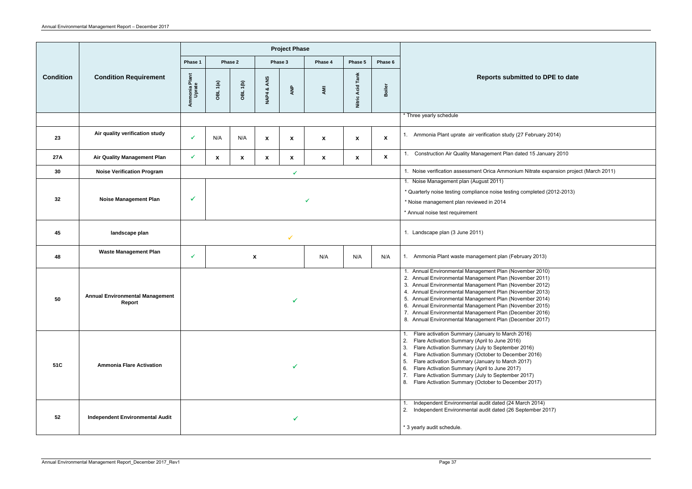|                  |                                                  |                                |              |                 |                           | <b>Project Phase</b>      |                                                     |                                 |                    |                                                                                                                                                                                                                                                                                                                                                                                                                                                                                      |
|------------------|--------------------------------------------------|--------------------------------|--------------|-----------------|---------------------------|---------------------------|-----------------------------------------------------|---------------------------------|--------------------|--------------------------------------------------------------------------------------------------------------------------------------------------------------------------------------------------------------------------------------------------------------------------------------------------------------------------------------------------------------------------------------------------------------------------------------------------------------------------------------|
|                  |                                                  | Phase 1                        |              | Phase 2         | Phase 3                   |                           | Phase 4                                             | Phase 5                         | Phase 6            |                                                                                                                                                                                                                                                                                                                                                                                                                                                                                      |
| <b>Condition</b> | <b>Condition Requirement</b>                     | Ammonia Plant<br>Uprate        | OBL 1(a)     | <b>OBL 1(b)</b> | ANS<br><b>NAP4&amp;</b>   | ANP                       | AMI                                                 | Nitric Acid Tank                | Boiler             | Reports submitted to DPE to date                                                                                                                                                                                                                                                                                                                                                                                                                                                     |
|                  |                                                  |                                |              |                 |                           |                           |                                                     |                                 |                    | * Three yearly schedule                                                                                                                                                                                                                                                                                                                                                                                                                                                              |
| 23               | Air quality verification study                   | ✔                              | N/A          | N/A             | $\boldsymbol{\mathsf{x}}$ | $\boldsymbol{\mathsf{x}}$ | $\pmb{\mathsf{X}}$                                  | $\boldsymbol{\mathsf{x}}$       | $\pmb{\mathsf{x}}$ | Ammonia Plant uprate air verification study (27 February 2014)                                                                                                                                                                                                                                                                                                                                                                                                                       |
| <b>27A</b>       | <b>Air Quality Management Plan</b>               | $\checkmark$                   | $\mathbf x$  | $\mathbf{x}$    | $\mathbf{x}$              | $\mathbf{x}$              | $\pmb{\mathsf{X}}$                                  | $\boldsymbol{\mathsf{x}}$       | $\mathbf{x}$       | Construction Air Quality Management Plan dated 15 January 2010                                                                                                                                                                                                                                                                                                                                                                                                                       |
| 30               | <b>Noise Verification Program</b>                |                                |              |                 |                           | $\checkmark$              |                                                     |                                 |                    | 1. Noise verification assessment Orica Ammonium Nitrate expansion project (March 2011)                                                                                                                                                                                                                                                                                                                                                                                               |
| 32               | <b>Noise Management Plan</b>                     | $\checkmark$                   | $\checkmark$ |                 |                           |                           |                                                     |                                 |                    | 1. Noise Management plan (August 2011)<br>* Quarterly noise testing compliance noise testing completed (2012-2013)<br>* Noise management plan reviewed in 2014<br>* Annual noise test requirement                                                                                                                                                                                                                                                                                    |
| 45               | landscape plan                                   |                                |              | ✓               |                           |                           |                                                     | 1. Landscape plan (3 June 2011) |                    |                                                                                                                                                                                                                                                                                                                                                                                                                                                                                      |
| 48               | <b>Waste Management Plan</b>                     | ✓<br>$\boldsymbol{\mathsf{x}}$ |              | N/A             | N/A                       | N/A                       | Ammonia Plant waste management plan (February 2013) |                                 |                    |                                                                                                                                                                                                                                                                                                                                                                                                                                                                                      |
| 50               | <b>Annual Environmental Management</b><br>Report |                                |              |                 |                           |                           |                                                     |                                 |                    | 1. Annual Environmental Management Plan (November 2010)<br>2. Annual Environmental Management Plan (November 2011)<br>3. Annual Environmental Management Plan (November 2012)<br>4. Annual Environmental Management Plan (November 2013)<br>5. Annual Environmental Management Plan (November 2014)<br>6. Annual Environmental Management Plan (November 2015)<br>7. Annual Environmental Management Plan (December 2016)<br>8. Annual Environmental Management Plan (December 2017) |
| 51C              | <b>Ammonia Flare Activation</b>                  |                                |              |                 |                           |                           |                                                     |                                 |                    | Flare activation Summary (January to March 2016)<br>$1_{\cdot}$<br>Flare Activation Summary (April to June 2016)<br>2.<br>Flare Activation Summary (July to September 2016)<br>3.<br>Flare Activation Summary (October to December 2016)<br>4.<br>Flare activation Summary (January to March 2017)<br>5.<br>Flare Activation Summary (April to June 2017)<br>6.<br>Flare Activation Summary (July to September 2017)<br>8. Flare Activation Summary (October to December 2017)       |
| 52               | <b>Independent Environmental Audit</b>           |                                |              |                 |                           |                           |                                                     |                                 |                    | Independent Environmental audit dated (24 March 2014)<br>2. Independent Environmental audit dated (26 September 2017)<br>* 3 yearly audit schedule.                                                                                                                                                                                                                                                                                                                                  |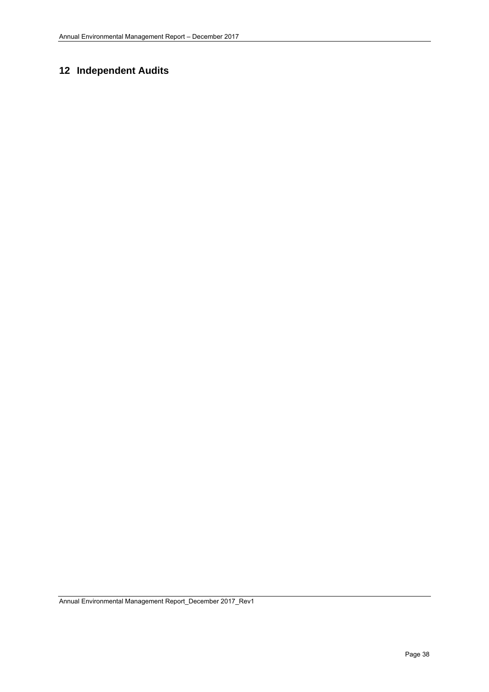# **12 Independent Audits**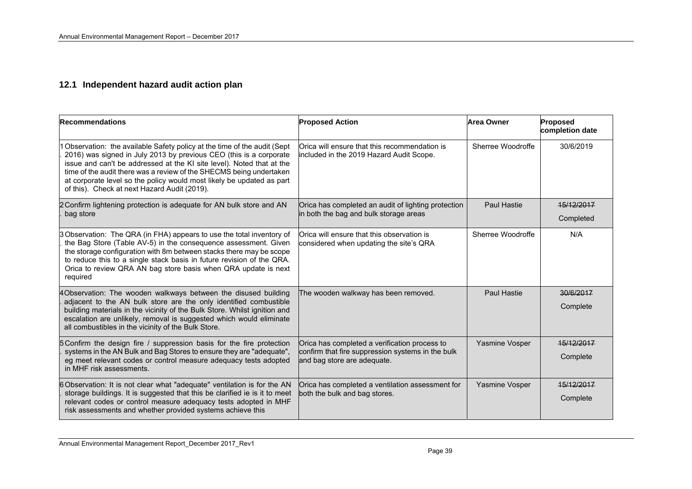#### **12.1 Independent hazard audit action plan**

| <b>Recommendations</b>                                                                                                                                                                                                                                                                                                                                                                                                   | <b>Proposed Action</b>                                                                                                            | <b>Area Owner</b>  | Proposed<br>completion date |
|--------------------------------------------------------------------------------------------------------------------------------------------------------------------------------------------------------------------------------------------------------------------------------------------------------------------------------------------------------------------------------------------------------------------------|-----------------------------------------------------------------------------------------------------------------------------------|--------------------|-----------------------------|
| 1 Observation: the available Safety policy at the time of the audit (Sept<br>2016) was signed in July 2013 by previous CEO (this is a corporate<br>issue and can't be addressed at the KI site level). Noted that at the<br>time of the audit there was a review of the SHECMS being undertaken<br>at corporate level so the policy would most likely be updated as part<br>of this). Check at next Hazard Audit (2019). | Orica will ensure that this recommendation is<br>included in the 2019 Hazard Audit Scope.                                         | Sherree Woodroffe  | 30/6/2019                   |
| 2 Confirm lightening protection is adequate for AN bulk store and AN<br>bag store                                                                                                                                                                                                                                                                                                                                        | Orica has completed an audit of lighting protection<br>in both the bag and bulk storage areas                                     | <b>Paul Hastie</b> | 15/12/2017<br>Completed     |
| 3 Observation: The QRA (in FHA) appears to use the total inventory of<br>the Bag Store (Table AV-5) in the consequence assessment. Given<br>the storage configuration with 8m between stacks there may be scope<br>to reduce this to a single stack basis in future revision of the QRA.<br>Orica to review QRA AN bag store basis when QRA update is next<br>required                                                   | Orica will ensure that this observation is<br>considered when updating the site's QRA                                             | Sherree Woodroffe  | N/A                         |
| 4Observation: The wooden walkways between the disused building<br>adjacent to the AN bulk store are the only identified combustible<br>building materials in the vicinity of the Bulk Store. Whilst ignition and<br>escalation are unlikely, removal is suggested which would eliminate<br>all combustibles in the vicinity of the Bulk Store.                                                                           | The wooden walkway has been removed.                                                                                              | <b>Paul Hastie</b> | 30/6/2017<br>Complete       |
| 5 Confirm the design fire / suppression basis for the fire protection<br>systems in the AN Bulk and Bag Stores to ensure they are "adequate",<br>eg meet relevant codes or control measure adequacy tests adopted<br>in MHF risk assessments.                                                                                                                                                                            | Orica has completed a verification process to<br>confirm that fire suppression systems in the bulk<br>and bag store are adequate. | Yasmine Vosper     | 15/12/2017<br>Complete      |
| 6 Observation: It is not clear what "adequate" ventilation is for the AN<br>storage buildings. It is suggested that this be clarified ie is it to meet<br>relevant codes or control measure adequacy tests adopted in MHF<br>risk assessments and whether provided systems achieve this                                                                                                                                  | Orica has completed a ventilation assessment for<br>both the bulk and bag stores.                                                 | Yasmine Vosper     | 15/12/2017<br>Complete      |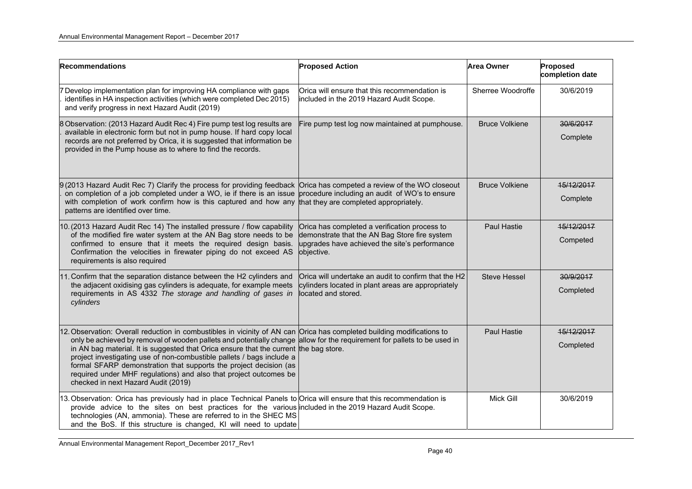| <b>Recommendations</b>                                                                                                                                                                                                                                                                                                                                                                                                                                                                                                                                                                                | <b>Proposed Action</b>                                                                                                                                        | <b>Area Owner</b>     | Proposed<br>completion date |
|-------------------------------------------------------------------------------------------------------------------------------------------------------------------------------------------------------------------------------------------------------------------------------------------------------------------------------------------------------------------------------------------------------------------------------------------------------------------------------------------------------------------------------------------------------------------------------------------------------|---------------------------------------------------------------------------------------------------------------------------------------------------------------|-----------------------|-----------------------------|
| 7 Develop implementation plan for improving HA compliance with gaps<br>identifies in HA inspection activities (which were completed Dec 2015)<br>and verify progress in next Hazard Audit (2019)                                                                                                                                                                                                                                                                                                                                                                                                      | Orica will ensure that this recommendation is<br>included in the 2019 Hazard Audit Scope.                                                                     | Sherree Woodroffe     | 30/6/2019                   |
| 8 Observation: (2013 Hazard Audit Rec 4) Fire pump test log results are<br>available in electronic form but not in pump house. If hard copy local<br>records are not preferred by Orica, it is suggested that information be<br>provided in the Pump house as to where to find the records.                                                                                                                                                                                                                                                                                                           | Fire pump test log now maintained at pumphouse.                                                                                                               | <b>Bruce Volkiene</b> | 30/6/2017<br>Complete       |
| 9(2013 Hazard Audit Rec 7) Clarify the process for providing feedback<br>on completion of a job completed under a WO, ie if there is an issue<br>with completion of work confirm how is this captured and how any<br>patterns are identified over time.                                                                                                                                                                                                                                                                                                                                               | Orica has competed a review of the WO closeout<br>procedure including an audit of WO's to ensure<br>that they are completed appropriately.                    | <b>Bruce Volkiene</b> | 15/12/2017<br>Complete      |
| 10. (2013 Hazard Audit Rec 14) The installed pressure / flow capability<br>of the modified fire water system at the AN Bag store needs to be<br>confirmed to ensure that it meets the required design basis.<br>Confirmation the velocities in firewater piping do not exceed AS<br>requirements is also required                                                                                                                                                                                                                                                                                     | Orica has completed a verification process to<br>demonstrate that the AN Bag Store fire system<br>upgrades have achieved the site's performance<br>objective. | <b>Paul Hastie</b>    | 15/12/2017<br>Competed      |
| 11. Confirm that the separation distance between the H2 cylinders and<br>the adjacent oxidising gas cylinders is adequate, for example meets<br>requirements in AS 4332 The storage and handling of gases in<br>cylinders                                                                                                                                                                                                                                                                                                                                                                             | Orica will undertake an audit to confirm that the H2<br>cylinders located in plant areas are appropriately<br>located and stored.                             | <b>Steve Hessel</b>   | 30/9/2017<br>Completed      |
| 12. Observation: Overall reduction in combustibles in vicinity of AN can Orica has completed building modifications to<br>only be achieved by removal of wooden pallets and potentially change allow for the requirement for pallets to be used in<br>in AN bag material. It is suggested that Orica ensure that the current the bag store.<br>project investigating use of non-combustible pallets / bags include a<br>formal SFARP demonstration that supports the project decision (as<br>required under MHF regulations) and also that project outcomes be<br>checked in next Hazard Audit (2019) |                                                                                                                                                               | Paul Hastie           | 15/12/2017<br>Completed     |
| 13. Observation: Orica has previously had in place Technical Panels to Orica will ensure that this recommendation is<br>provide advice to the sites on best practices for the various included in the 2019 Hazard Audit Scope.<br>technologies (AN, ammonia). These are referred to in the SHEC MS<br>and the BoS. If this structure is changed, KI will need to update                                                                                                                                                                                                                               |                                                                                                                                                               | Mick Gill             | 30/6/2019                   |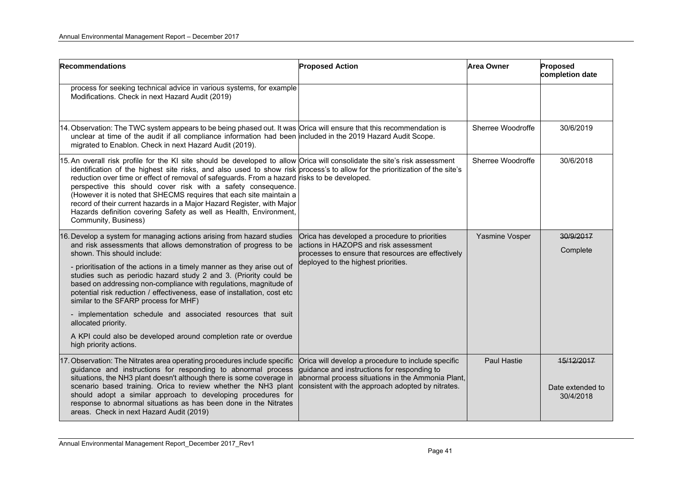| <b>Recommendations</b>                                                                                                                                                                                                                                                                                                                                                                                                                                                                                                                                                                                                                                                                                 | <b>Proposed Action</b>                                                                                                                                                                                      | <b>Area Owner</b>  | Proposed<br>completion date                 |
|--------------------------------------------------------------------------------------------------------------------------------------------------------------------------------------------------------------------------------------------------------------------------------------------------------------------------------------------------------------------------------------------------------------------------------------------------------------------------------------------------------------------------------------------------------------------------------------------------------------------------------------------------------------------------------------------------------|-------------------------------------------------------------------------------------------------------------------------------------------------------------------------------------------------------------|--------------------|---------------------------------------------|
| process for seeking technical advice in various systems, for example<br>Modifications. Check in next Hazard Audit (2019)                                                                                                                                                                                                                                                                                                                                                                                                                                                                                                                                                                               |                                                                                                                                                                                                             |                    |                                             |
| 14. Observation: The TWC system appears to be being phased out. It was Orica will ensure that this recommendation is<br>unclear at time of the audit if all compliance information had been included in the 2019 Hazard Audit Scope.<br>migrated to Enablon. Check in next Hazard Audit (2019).                                                                                                                                                                                                                                                                                                                                                                                                        |                                                                                                                                                                                                             | Sherree Woodroffe  | 30/6/2019                                   |
| 15. An overall risk profile for the KI site should be developed to allow Orica will consolidate the site's risk assessment<br>identification of the highest site risks, and also used to show risk process's to allow for the prioritization of the site's<br>reduction over time or effect of removal of safeguards. From a hazard risks to be developed.<br>perspective this should cover risk with a safety consequence.<br>(However it is noted that SHECMS requires that each site maintain a<br>record of their current hazards in a Major Hazard Register, with Major<br>Hazards definition covering Safety as well as Health, Environment,<br>Community, Business)                             |                                                                                                                                                                                                             | Sherree Woodroffe  | 30/6/2018                                   |
| 16. Develop a system for managing actions arising from hazard studies<br>and risk assessments that allows demonstration of progress to be<br>shown. This should include:<br>- prioritisation of the actions in a timely manner as they arise out of<br>studies such as periodic hazard study 2 and 3. (Priority could be<br>based on addressing non-compliance with regulations, magnitude of<br>potential risk reduction / effectiveness, ease of installation, cost etc<br>similar to the SFARP process for MHF)<br>- implementation schedule and associated resources that suit<br>allocated priority.<br>A KPI could also be developed around completion rate or overdue<br>high priority actions. | Orica has developed a procedure to priorities<br>actions in HAZOPS and risk assessment<br>processes to ensure that resources are effectively<br>deployed to the highest priorities.                         | Yasmine Vosper     | 30/9/2017<br>Complete                       |
| 17. Observation: The Nitrates area operating procedures include specific<br>guidance and instructions for responding to abnormal process<br>situations, the NH3 plant doesn't although there is some coverage in<br>scenario based training. Orica to review whether the NH3 plant<br>should adopt a similar approach to developing procedures for<br>response to abnormal situations as has been done in the Nitrates<br>areas. Check in next Hazard Audit (2019)                                                                                                                                                                                                                                     | Orica will develop a procedure to include specific<br>guidance and instructions for responding to<br>abnormal process situations in the Ammonia Plant,<br>consistent with the approach adopted by nitrates. | <b>Paul Hastie</b> | 15/12/2017<br>Date extended to<br>30/4/2018 |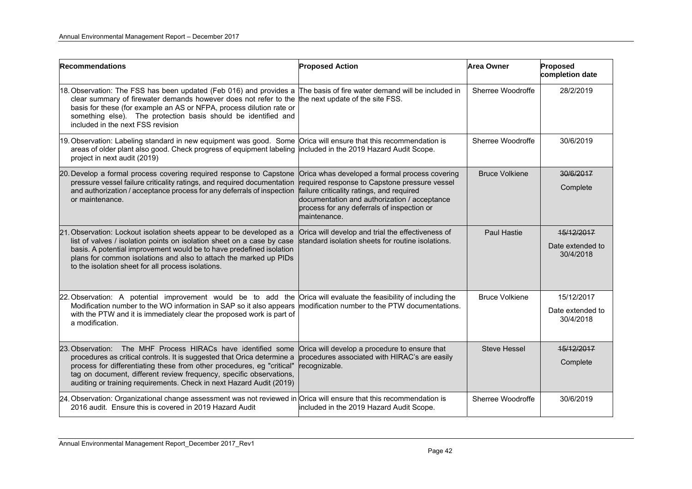| <b>Recommendations</b>                                                                                                                                                                                                                                                                                                                                           | <b>Proposed Action</b>                                                                                                                                                                                                                                     | <b>Area Owner</b>     | Proposed<br>completion date                 |
|------------------------------------------------------------------------------------------------------------------------------------------------------------------------------------------------------------------------------------------------------------------------------------------------------------------------------------------------------------------|------------------------------------------------------------------------------------------------------------------------------------------------------------------------------------------------------------------------------------------------------------|-----------------------|---------------------------------------------|
| 18. Observation: The FSS has been updated (Feb 016) and provides a<br>clear summary of firewater demands however does not refer to the<br>basis for these (for example an AS or NFPA, process dilution rate or<br>something else). The protection basis should be identified and<br>included in the next FSS revision                                            | The basis of fire water demand will be included in<br>the next update of the site FSS.                                                                                                                                                                     | Sherree Woodroffe     | 28/2/2019                                   |
| 19. Observation: Labeling standard in new equipment was good. Some<br>areas of older plant also good. Check progress of equipment labeling<br>project in next audit (2019)                                                                                                                                                                                       | Orica will ensure that this recommendation is<br>included in the 2019 Hazard Audit Scope.                                                                                                                                                                  | Sherree Woodroffe     | 30/6/2019                                   |
| 20. Develop a formal process covering required response to Capstone<br>pressure vessel failure criticality ratings, and required documentation<br>and authorization / acceptance process for any deferrals of inspection<br>or maintenance.                                                                                                                      | Orica whas developed a formal process covering<br>required response to Capstone pressure vessel<br>failure criticality ratings, and required<br>documentation and authorization / acceptance<br>process for any deferrals of inspection or<br>maintenance. | <b>Bruce Volkiene</b> | 30/6/2017<br>Complete                       |
| 21. Observation: Lockout isolation sheets appear to be developed as a<br>list of valves / isolation points on isolation sheet on a case by case<br>basis. A potential improvement would be to have predefined isolation<br>plans for common isolations and also to attach the marked up PIDs<br>to the isolation sheet for all process isolations.               | Orica will develop and trial the effectiveness of<br>standard isolation sheets for routine isolations.                                                                                                                                                     | Paul Hastie           | 15/12/2017<br>Date extended to<br>30/4/2018 |
| 22. Observation: A potential improvement would be to add the<br>Modification number to the WO information in SAP so it also appears<br>with the PTW and it is immediately clear the proposed work is part of<br>a modification.                                                                                                                                  | Orica will evaluate the feasibility of including the<br>modification number to the PTW documentations.                                                                                                                                                     | <b>Bruce Volkiene</b> | 15/12/2017<br>Date extended to<br>30/4/2018 |
| 23. Observation: The MHF Process HIRACs have identified some<br>procedures as critical controls. It is suggested that Orica determine a<br>process for differentiating these from other procedures, eg "critical"<br>tag on document, different review frequency, specific observations,<br>auditing or training requirements. Check in next Hazard Audit (2019) | Orica will develop a procedure to ensure that<br>procedures associated with HIRAC's are easily<br>recognizable.                                                                                                                                            | <b>Steve Hessel</b>   | 15/12/2017<br>Complete                      |
| $24.$ Observation: Organizational change assessment was not reviewed in Orica will ensure that this recommendation is<br>2016 audit. Ensure this is covered in 2019 Hazard Audit                                                                                                                                                                                 | included in the 2019 Hazard Audit Scope.                                                                                                                                                                                                                   | Sherree Woodroffe     | 30/6/2019                                   |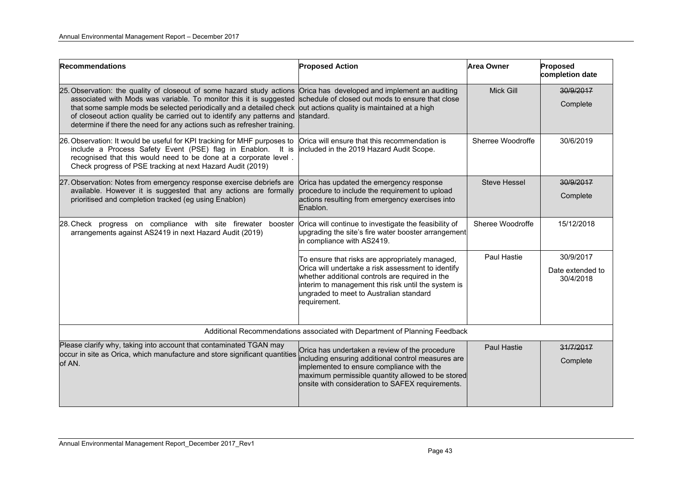| <b>Recommendations</b>                                                                                                                                                                                                                                                                         | <b>Proposed Action</b>                                                                                                                                                                                                                                                     | <b>Area Owner</b>   | Proposed<br>completion date   |
|------------------------------------------------------------------------------------------------------------------------------------------------------------------------------------------------------------------------------------------------------------------------------------------------|----------------------------------------------------------------------------------------------------------------------------------------------------------------------------------------------------------------------------------------------------------------------------|---------------------|-------------------------------|
| 25. Observation: the quality of closeout of some hazard study actions                                                                                                                                                                                                                          | Orica has developed and implement an auditing                                                                                                                                                                                                                              | <b>Mick Gill</b>    | 30/9/2017                     |
| associated with Mods was variable. To monitor this it is suggested<br>that some sample mods be selected periodically and a detailed check<br>of closeout action quality be carried out to identify any patterns and<br>determine if there the need for any actions such as refresher training. | schedule of closed out mods to ensure that close<br>out actions quality is maintained at a high<br>standard.                                                                                                                                                               |                     | Complete                      |
| 26. Observation: It would be useful for KPI tracking for MHF purposes to<br>include a Process Safety Event (PSE) flag in Enablon. It is<br>recognised that this would need to be done at a corporate level.<br>Check progress of PSE tracking at next Hazard Audit (2019)                      | Orica will ensure that this recommendation is<br>included in the 2019 Hazard Audit Scope.                                                                                                                                                                                  | Sherree Woodroffe   | 30/6/2019                     |
| 27. Observation: Notes from emergency response exercise debriefs are                                                                                                                                                                                                                           | Orica has updated the emergency response                                                                                                                                                                                                                                   | <b>Steve Hessel</b> | 30/9/2017                     |
| available. However it is suggested that any actions are formally<br>procedure to include the requirement to upload<br>prioritised and completion tracked (eg using Enablon)<br>Enablon.                                                                                                        | actions resulting from emergency exercises into                                                                                                                                                                                                                            |                     | Complete                      |
| 28. Check progress on compliance with site firewater booster<br>arrangements against AS2419 in next Hazard Audit (2019)                                                                                                                                                                        | Orica will continue to investigate the feasibility of<br>upgrading the site's fire water booster arrangement<br>in compliance with AS2419.                                                                                                                                 | Sheree Woodroffe    | 15/12/2018                    |
|                                                                                                                                                                                                                                                                                                | To ensure that risks are appropriately managed,<br>Orica will undertake a risk assessment to identify<br>whether additional controls are required in the<br>interim to management this risk until the system is<br>ungraded to meet to Australian standard<br>requirement. | Paul Hastie         | 30/9/2017                     |
|                                                                                                                                                                                                                                                                                                |                                                                                                                                                                                                                                                                            |                     | Date extended to<br>30/4/2018 |
| Additional Recommendations associated with Department of Planning Feedback                                                                                                                                                                                                                     |                                                                                                                                                                                                                                                                            |                     |                               |
| Please clarify why, taking into account that contaminated TGAN may                                                                                                                                                                                                                             | Orica has undertaken a review of the procedure                                                                                                                                                                                                                             | <b>Paul Hastie</b>  | 31/7/2017                     |
| occur in site as Orica, which manufacture and store significant quantities<br>of AN.                                                                                                                                                                                                           | including ensuring additional control measures are<br>implemented to ensure compliance with the<br>maximum permissible quantity allowed to be stored<br>onsite with consideration to SAFEX requirements.                                                                   |                     | Complete                      |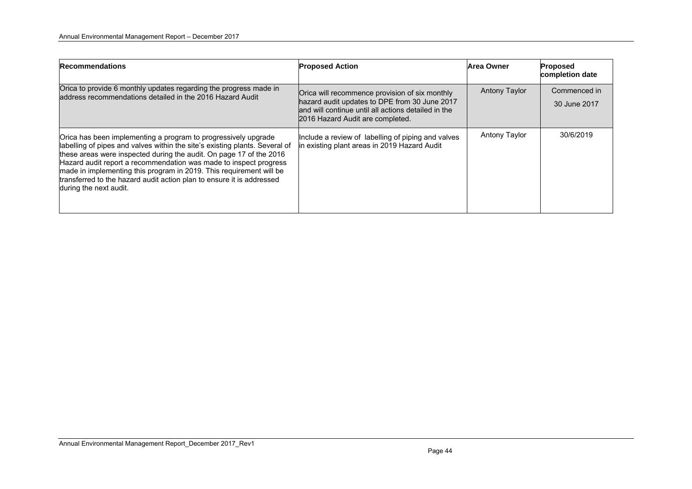| <b>Recommendations</b>                                                                                                                                                                                                                                                                                                                                                                                                                                             | <b>Proposed Action</b>                                                                                                                                                                     | Area Owner           | Proposed<br>completion date  |
|--------------------------------------------------------------------------------------------------------------------------------------------------------------------------------------------------------------------------------------------------------------------------------------------------------------------------------------------------------------------------------------------------------------------------------------------------------------------|--------------------------------------------------------------------------------------------------------------------------------------------------------------------------------------------|----------------------|------------------------------|
| Orica to provide 6 monthly updates regarding the progress made in<br>address recommendations detailed in the 2016 Hazard Audit                                                                                                                                                                                                                                                                                                                                     | Orica will recommence provision of six monthly<br>hazard audit updates to DPE from 30 June 2017<br>and will continue until all actions detailed in the<br>2016 Hazard Audit are completed. | <b>Antony Taylor</b> | Commenced in<br>30 June 2017 |
| Orica has been implementing a program to progressively upgrade<br>abelling of pipes and valves within the site's existing plants. Several of<br>these areas were inspected during the audit. On page 17 of the 2016<br>Hazard audit report a recommendation was made to inspect progress<br>made in implementing this program in 2019. This requirement will be<br>transferred to the hazard audit action plan to ensure it is addressed<br>during the next audit. | Include a review of labelling of piping and valves<br>in existing plant areas in 2019 Hazard Audit                                                                                         | <b>Antony Taylor</b> | 30/6/2019                    |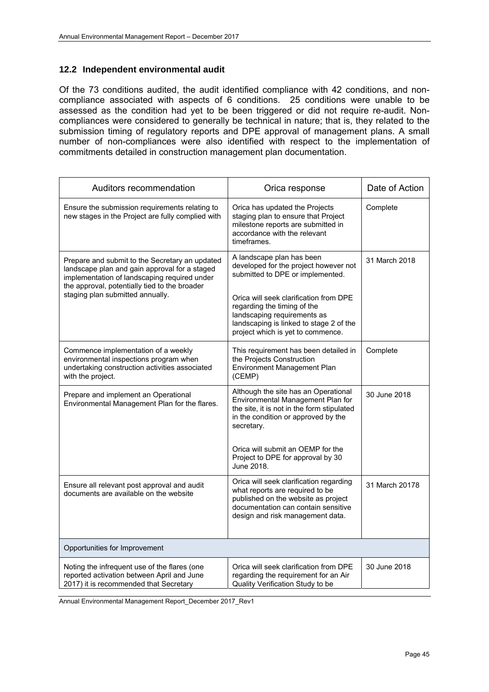#### **12.2 Independent environmental audit**

Of the 73 conditions audited, the audit identified compliance with 42 conditions, and noncompliance associated with aspects of 6 conditions. 25 conditions were unable to be assessed as the condition had yet to be been triggered or did not require re-audit. Noncompliances were considered to generally be technical in nature; that is, they related to the submission timing of regulatory reports and DPE approval of management plans. A small number of non-compliances were also identified with respect to the implementation of commitments detailed in construction management plan documentation.

| Auditors recommendation                                                                                                                                                                                                              | Orica response                                                                                                                                                                                                                                                                                 | Date of Action |
|--------------------------------------------------------------------------------------------------------------------------------------------------------------------------------------------------------------------------------------|------------------------------------------------------------------------------------------------------------------------------------------------------------------------------------------------------------------------------------------------------------------------------------------------|----------------|
| Ensure the submission requirements relating to<br>new stages in the Project are fully complied with                                                                                                                                  | Orica has updated the Projects<br>staging plan to ensure that Project<br>milestone reports are submitted in<br>accordance with the relevant<br>timeframes.                                                                                                                                     | Complete       |
| Prepare and submit to the Secretary an updated<br>landscape plan and gain approval for a staged<br>implementation of landscaping required under<br>the approval, potentially tied to the broader<br>staging plan submitted annually. | A landscape plan has been<br>developed for the project however not<br>submitted to DPE or implemented.<br>Orica will seek clarification from DPE<br>regarding the timing of the<br>landscaping requirements as<br>landscaping is linked to stage 2 of the<br>project which is yet to commence. | 31 March 2018  |
| Commence implementation of a weekly<br>environmental inspections program when<br>undertaking construction activities associated<br>with the project.                                                                                 | This requirement has been detailed in<br>the Projects Construction<br>Environment Management Plan<br>(CEMP)                                                                                                                                                                                    | Complete       |
| Prepare and implement an Operational<br>Environmental Management Plan for the flares.                                                                                                                                                | Although the site has an Operational<br>Environmental Management Plan for<br>the site, it is not in the form stipulated<br>in the condition or approved by the<br>secretary.<br>Orica will submit an OEMP for the<br>Project to DPE for approval by 30                                         | 30 June 2018   |
|                                                                                                                                                                                                                                      | June 2018.                                                                                                                                                                                                                                                                                     |                |
| Ensure all relevant post approval and audit<br>documents are available on the website                                                                                                                                                | Orica will seek clarification regarding<br>what reports are required to be<br>published on the website as project<br>documentation can contain sensitive<br>design and risk management data.                                                                                                   | 31 March 20178 |
| Opportunities for Improvement                                                                                                                                                                                                        |                                                                                                                                                                                                                                                                                                |                |
| Noting the infrequent use of the flares (one<br>reported activation between April and June<br>2017) it is recommended that Secretary                                                                                                 | Orica will seek clarification from DPE<br>regarding the requirement for an Air<br>Quality Verification Study to be                                                                                                                                                                             | 30 June 2018   |

Annual Environmental Management Report\_December 2017\_Rev1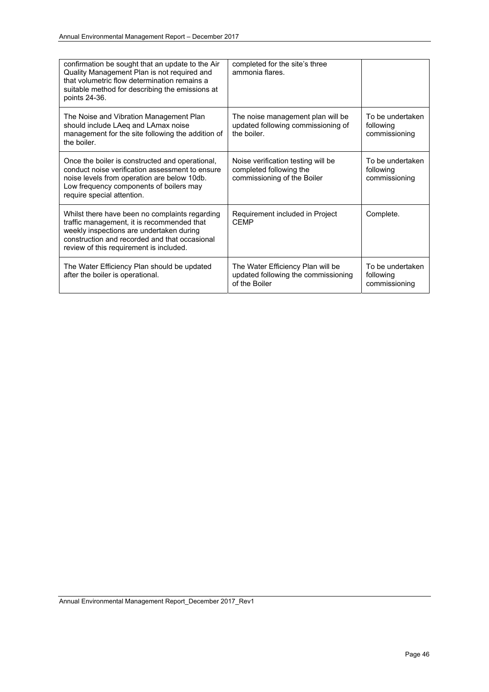| confirmation be sought that an update to the Air<br>Quality Management Plan is not required and<br>that volumetric flow determination remains a<br>suitable method for describing the emissions at<br>points 24-36.                  | completed for the site's three<br>ammonia flares.                                            |                                                |
|--------------------------------------------------------------------------------------------------------------------------------------------------------------------------------------------------------------------------------------|----------------------------------------------------------------------------------------------|------------------------------------------------|
| The Noise and Vibration Management Plan<br>should include LAeq and LAmax noise<br>management for the site following the addition of<br>the boiler.                                                                                   | The noise management plan will be<br>updated following commissioning of<br>the boiler.       | To be undertaken<br>following<br>commissioning |
| Once the boiler is constructed and operational,<br>conduct noise verification assessment to ensure<br>noise levels from operation are below 10db.<br>Low frequency components of boilers may<br>require special attention.           | Noise verification testing will be<br>completed following the<br>commissioning of the Boiler | To be undertaken<br>following<br>commissioning |
| Whilst there have been no complaints regarding<br>traffic management, it is recommended that<br>weekly inspections are undertaken during<br>construction and recorded and that occasional<br>review of this requirement is included. | Requirement included in Project<br><b>CFMP</b>                                               | Complete.                                      |
| The Water Efficiency Plan should be updated<br>after the boiler is operational.                                                                                                                                                      | The Water Efficiency Plan will be<br>updated following the commissioning<br>of the Boiler    | To be undertaken<br>following<br>commissioning |